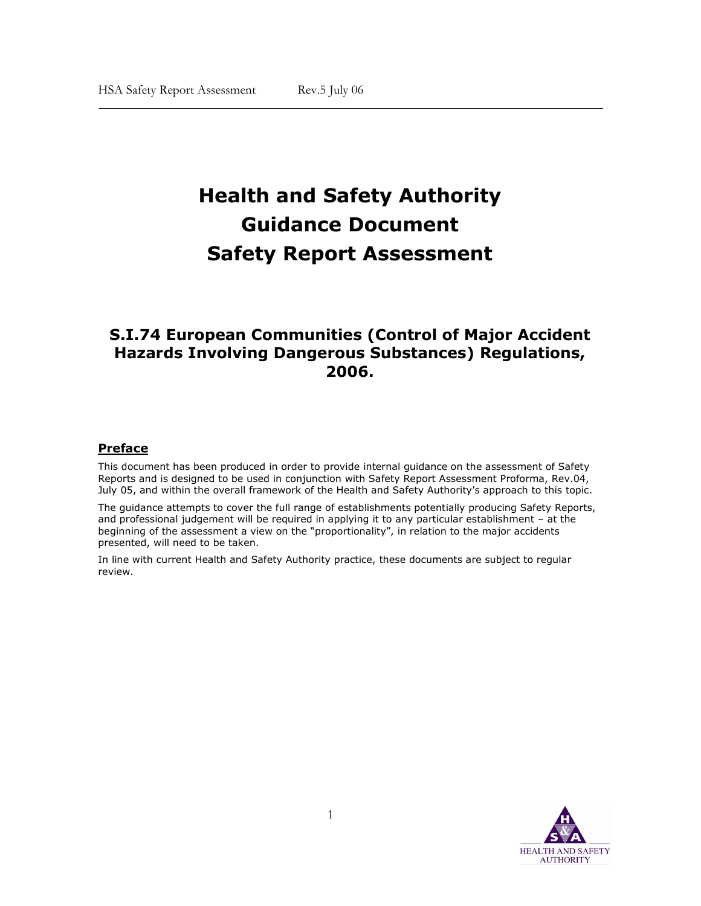# Health and Safety Authority Guidance Document Safety Report Assessment

# S.I.74 European Communities (Control of Major Accident Hazards Involving Dangerous Substances) Regulations, 2006.

# Preface

 $\overline{\phantom{a}}$ 

This document has been produced in order to provide internal guidance on the assessment of Safety Reports and is designed to be used in conjunction with Safety Report Assessment Proforma, Rev.04, July 05, and within the overall framework of the Health and Safety Authority's approach to this topic.

The guidance attempts to cover the full range of establishments potentially producing Safety Reports, and professional judgement will be required in applying it to any particular establishment – at the beginning of the assessment a view on the "proportionality", in relation to the major accidents presented, will need to be taken.

In line with current Health and Safety Authority practice, these documents are subject to regular review.

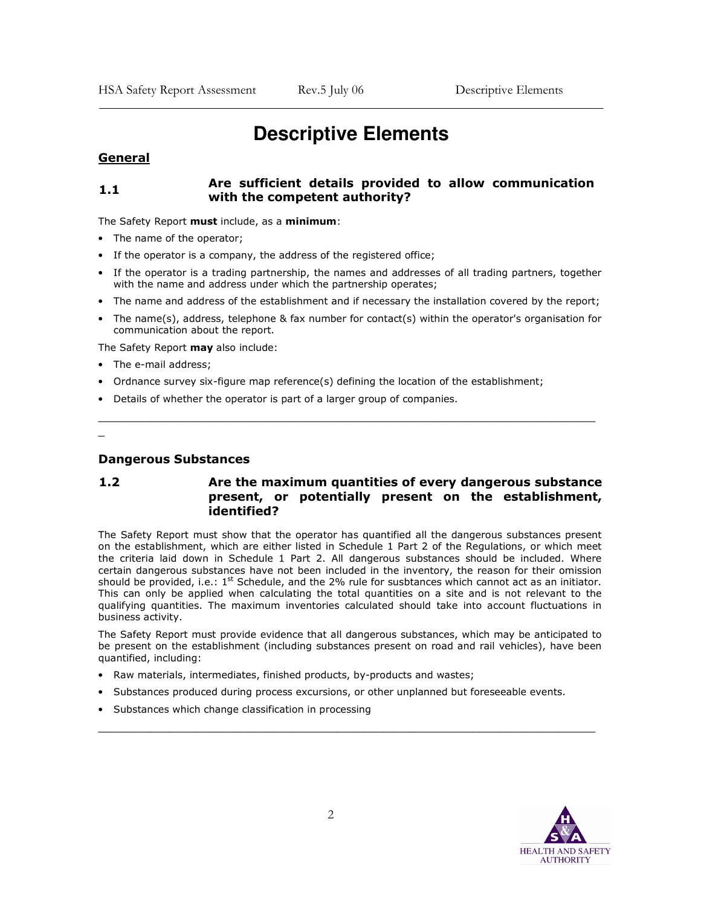# **Descriptive Elements**

#### General

<sup>-</sup>

#### 1.1 Are sufficient details provided to allow communication with the competent authority?

The Safety Report must include, as a minimum:

- The name of the operator;
- If the operator is a company, the address of the registered office;
- If the operator is a trading partnership, the names and addresses of all trading partners, together with the name and address under which the partnership operates;
- The name and address of the establishment and if necessary the installation covered by the report;
- The name(s), address, telephone & fax number for contact(s) within the operator's organisation for communication about the report.

\_\_\_\_\_\_\_\_\_\_\_\_\_\_\_\_\_\_\_\_\_\_\_\_\_\_\_\_\_\_\_\_\_\_\_\_\_\_\_\_\_\_\_\_\_\_\_\_\_\_\_\_\_\_\_\_\_\_\_\_\_\_\_\_\_\_\_\_\_\_\_\_\_\_\_\_\_

The Safety Report may also include:

- The e-mail address;
- Ordnance survey six-figure map reference(s) defining the location of the establishment;
- Details of whether the operator is part of a larger group of companies.

\_

#### Dangerous Substances

# 1.2 Are the maximum quantities of every dangerous substance present, or potentially present on the establishment, identified?

The Safety Report must show that the operator has quantified all the dangerous substances present on the establishment, which are either listed in Schedule 1 Part 2 of the Regulations, or which meet the criteria laid down in Schedule 1 Part 2. All dangerous substances should be included. Where certain dangerous substances have not been included in the inventory, the reason for their omission should be provided, i.e.:  $1^{st}$  Schedule, and the 2% rule for susbtances which cannot act as an initiator. This can only be applied when calculating the total quantities on a site and is not relevant to the qualifying quantities. The maximum inventories calculated should take into account fluctuations in business activity.

The Safety Report must provide evidence that all dangerous substances, which may be anticipated to be present on the establishment (including substances present on road and rail vehicles), have been quantified, including:

- Raw materials, intermediates, finished products, by-products and wastes;
- Substances produced during process excursions, or other unplanned but foreseeable events.
- Substances which change classification in processing

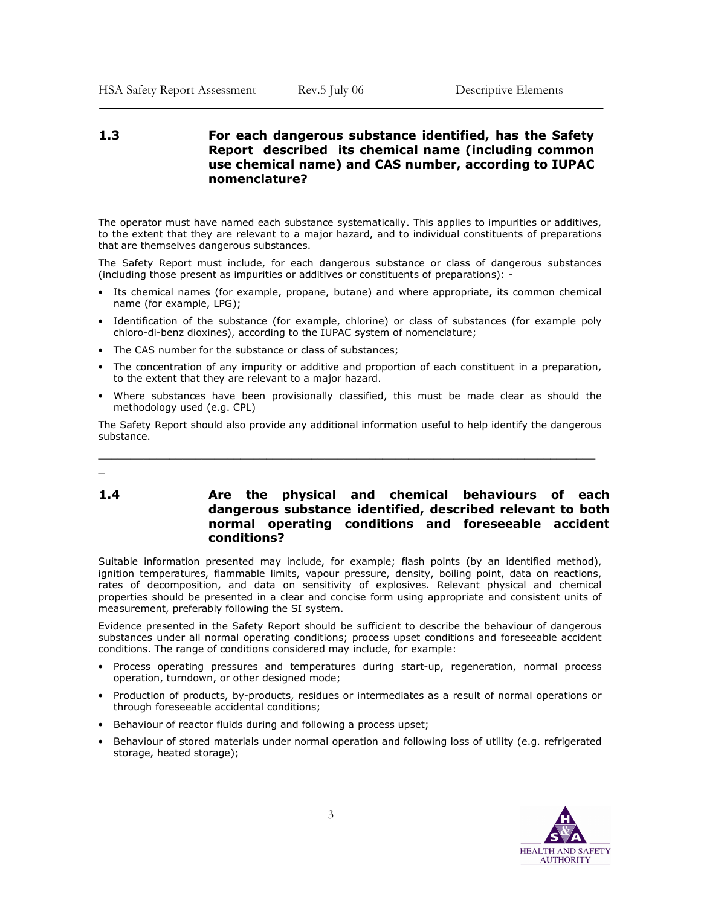# 1.3 For each dangerous substance identified, has the Safety Report described its chemical name (including common use chemical name) and CAS number, according to IUPAC nomenclature?

The operator must have named each substance systematically. This applies to impurities or additives, to the extent that they are relevant to a major hazard, and to individual constituents of preparations that are themselves dangerous substances.

The Safety Report must include, for each dangerous substance or class of dangerous substances (including those present as impurities or additives or constituents of preparations): -

- Its chemical names (for example, propane, butane) and where appropriate, its common chemical name (for example, LPG);
- Identification of the substance (for example, chlorine) or class of substances (for example poly chloro-di-benz dioxines), according to the IUPAC system of nomenclature;
- The CAS number for the substance or class of substances;
- The concentration of any impurity or additive and proportion of each constituent in a preparation, to the extent that they are relevant to a major hazard.
- Where substances have been provisionally classified, this must be made clear as should the methodology used (e.g. CPL)

The Safety Report should also provide any additional information useful to help identify the dangerous substance.

\_\_\_\_\_\_\_\_\_\_\_\_\_\_\_\_\_\_\_\_\_\_\_\_\_\_\_\_\_\_\_\_\_\_\_\_\_\_\_\_\_\_\_\_\_\_\_\_\_\_\_\_\_\_\_\_\_\_\_\_\_\_\_\_\_\_\_\_\_\_\_\_\_\_\_\_\_

\_

<sup>-</sup>

#### 1.4 Are the physical and chemical behaviours of each dangerous substance identified, described relevant to both normal operating conditions and foreseeable accident conditions?

Suitable information presented may include, for example; flash points (by an identified method), ignition temperatures, flammable limits, vapour pressure, density, boiling point, data on reactions, rates of decomposition, and data on sensitivity of explosives. Relevant physical and chemical properties should be presented in a clear and concise form using appropriate and consistent units of measurement, preferably following the SI system.

Evidence presented in the Safety Report should be sufficient to describe the behaviour of dangerous substances under all normal operating conditions; process upset conditions and foreseeable accident conditions. The range of conditions considered may include, for example:

- Process operating pressures and temperatures during start-up, regeneration, normal process operation, turndown, or other designed mode;
- Production of products, by-products, residues or intermediates as a result of normal operations or through foreseeable accidental conditions;
- Behaviour of reactor fluids during and following a process upset;
- Behaviour of stored materials under normal operation and following loss of utility (e.g. refrigerated storage, heated storage);

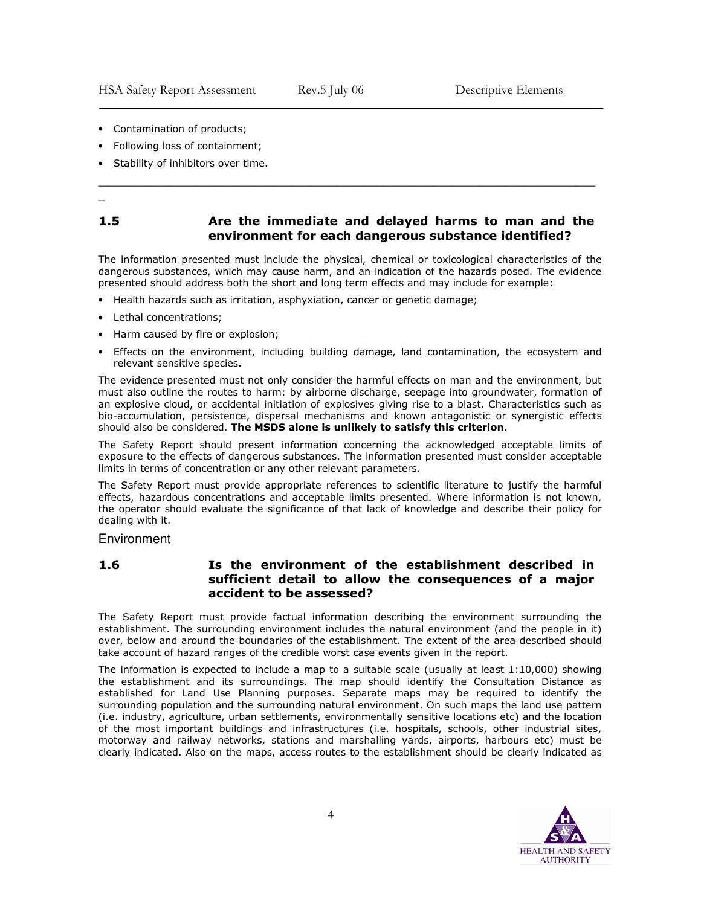- Contamination of products;
- Following loss of containment;
- Stability of inhibitors over time.
- \_

<sup>-</sup>

#### 1.5 Are the immediate and delayed harms to man and the environment for each dangerous substance identified?

\_\_\_\_\_\_\_\_\_\_\_\_\_\_\_\_\_\_\_\_\_\_\_\_\_\_\_\_\_\_\_\_\_\_\_\_\_\_\_\_\_\_\_\_\_\_\_\_\_\_\_\_\_\_\_\_\_\_\_\_\_\_\_\_\_\_\_\_\_\_\_\_\_\_\_\_\_

The information presented must include the physical, chemical or toxicological characteristics of the dangerous substances, which may cause harm, and an indication of the hazards posed. The evidence presented should address both the short and long term effects and may include for example:

- Health hazards such as irritation, asphyxiation, cancer or genetic damage;
- Lethal concentrations;
- Harm caused by fire or explosion;
- Effects on the environment, including building damage, land contamination, the ecosystem and relevant sensitive species.

The evidence presented must not only consider the harmful effects on man and the environment, but must also outline the routes to harm: by airborne discharge, seepage into groundwater, formation of an explosive cloud, or accidental initiation of explosives giving rise to a blast. Characteristics such as bio-accumulation, persistence, dispersal mechanisms and known antagonistic or synergistic effects should also be considered. The MSDS alone is unlikely to satisfy this criterion.

The Safety Report should present information concerning the acknowledged acceptable limits of exposure to the effects of dangerous substances. The information presented must consider acceptable limits in terms of concentration or any other relevant parameters.

The Safety Report must provide appropriate references to scientific literature to justify the harmful effects, hazardous concentrations and acceptable limits presented. Where information is not known, the operator should evaluate the significance of that lack of knowledge and describe their policy for dealing with it.

#### Environment

# 1.6 Is the environment of the establishment described in sufficient detail to allow the consequences of a major accident to be assessed?

The Safety Report must provide factual information describing the environment surrounding the establishment. The surrounding environment includes the natural environment (and the people in it) over, below and around the boundaries of the establishment. The extent of the area described should take account of hazard ranges of the credible worst case events given in the report.

The information is expected to include a map to a suitable scale (usually at least 1:10,000) showing the establishment and its surroundings. The map should identify the Consultation Distance as established for Land Use Planning purposes. Separate maps may be required to identify the surrounding population and the surrounding natural environment. On such maps the land use pattern (i.e. industry, agriculture, urban settlements, environmentally sensitive locations etc) and the location of the most important buildings and infrastructures (i.e. hospitals, schools, other industrial sites, motorway and railway networks, stations and marshalling yards, airports, harbours etc) must be clearly indicated. Also on the maps, access routes to the establishment should be clearly indicated as

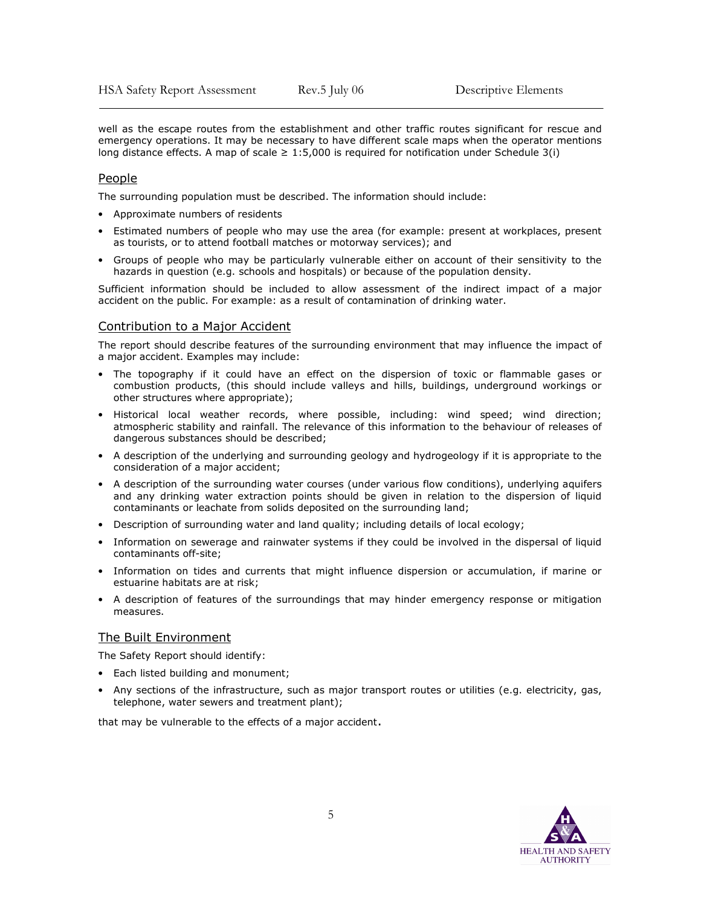well as the escape routes from the establishment and other traffic routes significant for rescue and emergency operations. It may be necessary to have different scale maps when the operator mentions long distance effects. A map of scale  $\geq 1:5,000$  is required for notification under Schedule 3(i)

#### People

<sup>-</sup>

The surrounding population must be described. The information should include:

- Approximate numbers of residents
- Estimated numbers of people who may use the area (for example: present at workplaces, present as tourists, or to attend football matches or motorway services); and
- Groups of people who may be particularly vulnerable either on account of their sensitivity to the hazards in question (e.g. schools and hospitals) or because of the population density.

Sufficient information should be included to allow assessment of the indirect impact of a major accident on the public. For example: as a result of contamination of drinking water.

#### Contribution to a Major Accident

The report should describe features of the surrounding environment that may influence the impact of a major accident. Examples may include:

- The topography if it could have an effect on the dispersion of toxic or flammable gases or combustion products, (this should include valleys and hills, buildings, underground workings or other structures where appropriate);
- Historical local weather records, where possible, including: wind speed; wind direction; atmospheric stability and rainfall. The relevance of this information to the behaviour of releases of dangerous substances should be described;
- A description of the underlying and surrounding geology and hydrogeology if it is appropriate to the consideration of a major accident;
- A description of the surrounding water courses (under various flow conditions), underlying aquifers and any drinking water extraction points should be given in relation to the dispersion of liquid contaminants or leachate from solids deposited on the surrounding land;
- Description of surrounding water and land quality; including details of local ecology;
- Information on sewerage and rainwater systems if they could be involved in the dispersal of liquid contaminants off-site;
- Information on tides and currents that might influence dispersion or accumulation, if marine or estuarine habitats are at risk;
- A description of features of the surroundings that may hinder emergency response or mitigation measures.

#### The Built Environment

The Safety Report should identify:

- Each listed building and monument;
- Any sections of the infrastructure, such as major transport routes or utilities (e.g. electricity, gas, telephone, water sewers and treatment plant);

that may be vulnerable to the effects of a major accident.

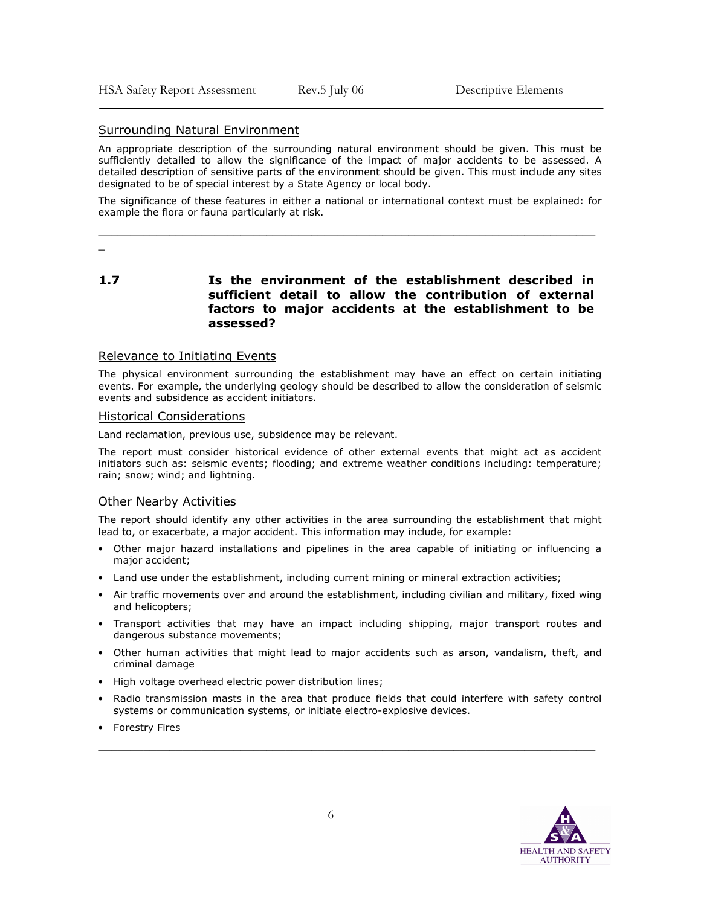#### Surrounding Natural Environment

An appropriate description of the surrounding natural environment should be given. This must be sufficiently detailed to allow the significance of the impact of major accidents to be assessed. A detailed description of sensitive parts of the environment should be given. This must include any sites designated to be of special interest by a State Agency or local body.

The significance of these features in either a national or international context must be explained: for example the flora or fauna particularly at risk.

\_\_\_\_\_\_\_\_\_\_\_\_\_\_\_\_\_\_\_\_\_\_\_\_\_\_\_\_\_\_\_\_\_\_\_\_\_\_\_\_\_\_\_\_\_\_\_\_\_\_\_\_\_\_\_\_\_\_\_\_\_\_\_\_\_\_\_\_\_\_\_\_\_\_\_\_\_

\_

<sup>-</sup>

1.7 Is the environment of the establishment described in sufficient detail to allow the contribution of external factors to major accidents at the establishment to be assessed?

#### Relevance to Initiating Events

The physical environment surrounding the establishment may have an effect on certain initiating events. For example, the underlying geology should be described to allow the consideration of seismic events and subsidence as accident initiators.

#### Historical Considerations

Land reclamation, previous use, subsidence may be relevant.

The report must consider historical evidence of other external events that might act as accident initiators such as: seismic events; flooding; and extreme weather conditions including: temperature; rain; snow; wind; and lightning.

#### Other Nearby Activities

The report should identify any other activities in the area surrounding the establishment that might lead to, or exacerbate, a major accident. This information may include, for example:

- Other major hazard installations and pipelines in the area capable of initiating or influencing a major accident;
- Land use under the establishment, including current mining or mineral extraction activities;
- Air traffic movements over and around the establishment, including civilian and military, fixed wing and helicopters;
- Transport activities that may have an impact including shipping, major transport routes and dangerous substance movements;
- Other human activities that might lead to major accidents such as arson, vandalism, theft, and criminal damage
- High voltage overhead electric power distribution lines;
- Radio transmission masts in the area that produce fields that could interfere with safety control systems or communication systems, or initiate electro-explosive devices.

\_\_\_\_\_\_\_\_\_\_\_\_\_\_\_\_\_\_\_\_\_\_\_\_\_\_\_\_\_\_\_\_\_\_\_\_\_\_\_\_\_\_\_\_\_\_\_\_\_\_\_\_\_\_\_\_\_\_\_\_\_\_\_\_\_\_\_\_\_\_\_\_\_\_\_\_\_

• Forestry Fires

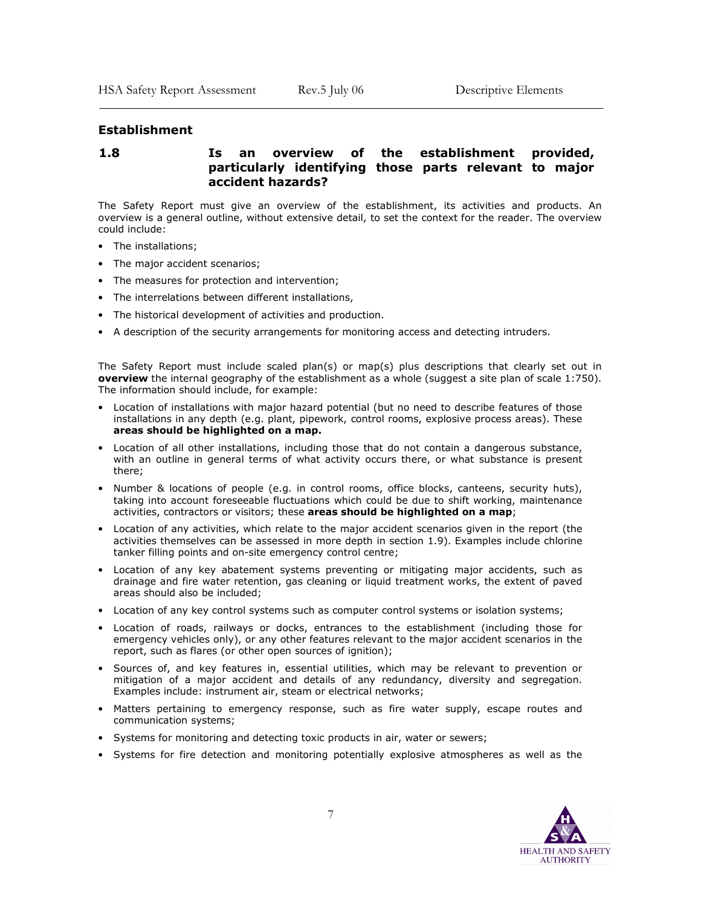#### Establishment

<sup>-</sup>

#### 1.8 Is an overview of the establishment provided, particularly identifying those parts relevant to major accident hazards?

The Safety Report must give an overview of the establishment, its activities and products. An overview is a general outline, without extensive detail, to set the context for the reader. The overview could include:

- The installations;
- The major accident scenarios;
- The measures for protection and intervention;
- The interrelations between different installations,
- The historical development of activities and production.
- A description of the security arrangements for monitoring access and detecting intruders.

The Safety Report must include scaled plan(s) or map(s) plus descriptions that clearly set out in overview the internal geography of the establishment as a whole (suggest a site plan of scale 1:750). The information should include, for example:

- Location of installations with major hazard potential (but no need to describe features of those installations in any depth (e.g. plant, pipework, control rooms, explosive process areas). These areas should be highlighted on a map.
- Location of all other installations, including those that do not contain a dangerous substance, with an outline in general terms of what activity occurs there, or what substance is present there;
- Number & locations of people (e.g. in control rooms, office blocks, canteens, security huts), taking into account foreseeable fluctuations which could be due to shift working, maintenance activities, contractors or visitors; these areas should be highlighted on a map;
- Location of any activities, which relate to the major accident scenarios given in the report (the activities themselves can be assessed in more depth in section 1.9). Examples include chlorine tanker filling points and on-site emergency control centre;
- Location of any key abatement systems preventing or mitigating major accidents, such as drainage and fire water retention, gas cleaning or liquid treatment works, the extent of paved areas should also be included;
- Location of any key control systems such as computer control systems or isolation systems;
- Location of roads, railways or docks, entrances to the establishment (including those for emergency vehicles only), or any other features relevant to the major accident scenarios in the report, such as flares (or other open sources of ignition);
- Sources of, and key features in, essential utilities, which may be relevant to prevention or mitigation of a major accident and details of any redundancy, diversity and segregation. Examples include: instrument air, steam or electrical networks;
- Matters pertaining to emergency response, such as fire water supply, escape routes and communication systems;
- Systems for monitoring and detecting toxic products in air, water or sewers;
- Systems for fire detection and monitoring potentially explosive atmospheres as well as the

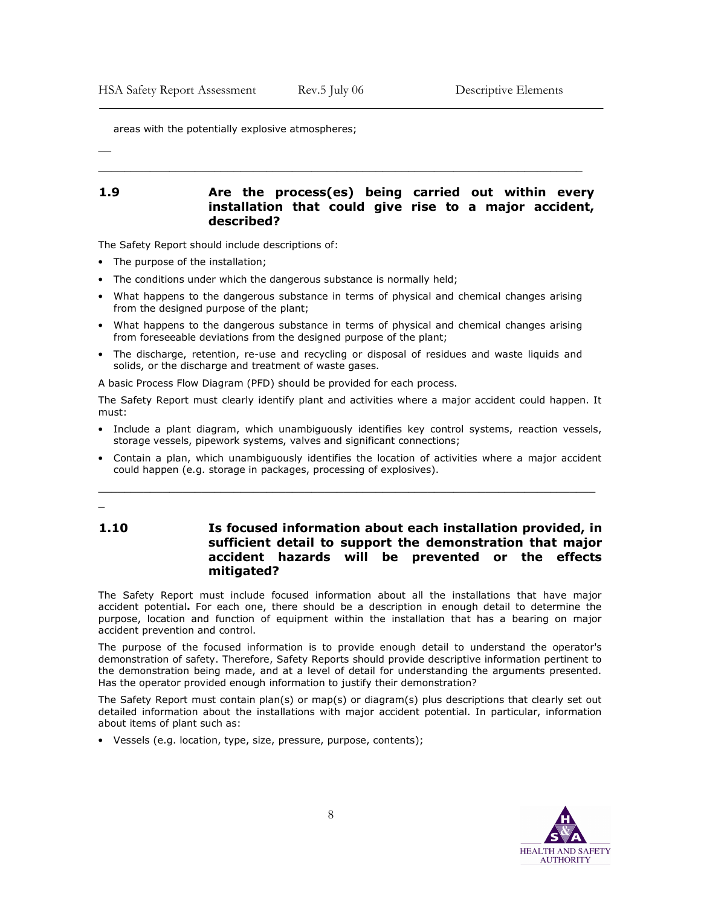areas with the potentially explosive atmospheres;

 $\overline{\phantom{0}}$ 

<sup>-</sup>

#### 1.9 Are the process(es) being carried out within every installation that could give rise to a major accident, described?

\_\_\_\_\_\_\_\_\_\_\_\_\_\_\_\_\_\_\_\_\_\_\_\_\_\_\_\_\_\_\_\_\_\_\_\_\_\_\_\_\_\_\_\_\_\_\_\_\_\_\_\_\_\_\_\_\_\_\_\_\_\_\_\_\_\_\_\_\_\_\_\_\_\_\_

The Safety Report should include descriptions of:

- The purpose of the installation;
- The conditions under which the dangerous substance is normally held;
- What happens to the dangerous substance in terms of physical and chemical changes arising from the designed purpose of the plant;
- What happens to the dangerous substance in terms of physical and chemical changes arising from foreseeable deviations from the designed purpose of the plant;
- The discharge, retention, re-use and recycling or disposal of residues and waste liquids and solids, or the discharge and treatment of waste gases.

A basic Process Flow Diagram (PFD) should be provided for each process.

The Safety Report must clearly identify plant and activities where a major accident could happen. It must:

- Include a plant diagram, which unambiguously identifies key control systems, reaction vessels, storage vessels, pipework systems, valves and significant connections;
- Contain a plan, which unambiguously identifies the location of activities where a major accident could happen (e.g. storage in packages, processing of explosives).

\_\_\_\_\_\_\_\_\_\_\_\_\_\_\_\_\_\_\_\_\_\_\_\_\_\_\_\_\_\_\_\_\_\_\_\_\_\_\_\_\_\_\_\_\_\_\_\_\_\_\_\_\_\_\_\_\_\_\_\_\_\_\_\_\_\_\_\_\_\_\_\_\_\_\_\_\_

# \_

1.10 Is focused information about each installation provided, in sufficient detail to support the demonstration that major accident hazards will be prevented or the effects mitigated?

The Safety Report must include focused information about all the installations that have major accident potential. For each one, there should be a description in enough detail to determine the purpose, location and function of equipment within the installation that has a bearing on major accident prevention and control.

The purpose of the focused information is to provide enough detail to understand the operator's demonstration of safety. Therefore, Safety Reports should provide descriptive information pertinent to the demonstration being made, and at a level of detail for understanding the arguments presented. Has the operator provided enough information to justify their demonstration?

The Safety Report must contain plan(s) or map(s) or diagram(s) plus descriptions that clearly set out detailed information about the installations with major accident potential. In particular, information about items of plant such as:

• Vessels (e.g. location, type, size, pressure, purpose, contents);

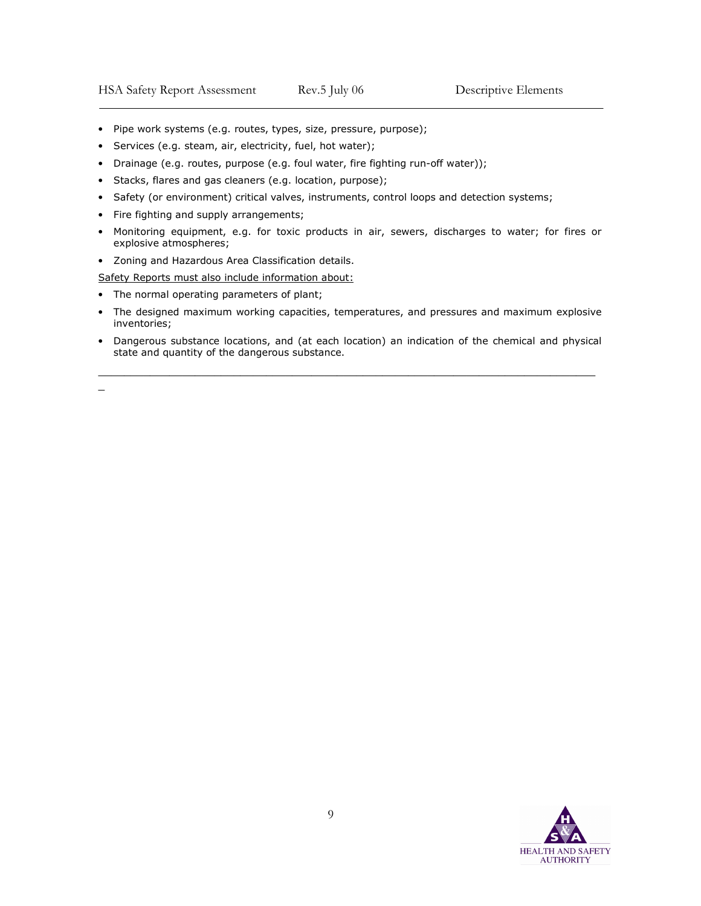- Pipe work systems (e.g. routes, types, size, pressure, purpose);
- Services (e.g. steam, air, electricity, fuel, hot water);
- Drainage (e.g. routes, purpose (e.g. foul water, fire fighting run-off water));
- Stacks, flares and gas cleaners (e.g. location, purpose);
- Safety (or environment) critical valves, instruments, control loops and detection systems;
- Fire fighting and supply arrangements;
- Monitoring equipment, e.g. for toxic products in air, sewers, discharges to water; for fires or explosive atmospheres;
- Zoning and Hazardous Area Classification details.

Safety Reports must also include information about:

- The normal operating parameters of plant;
- The designed maximum working capacities, temperatures, and pressures and maximum explosive inventories;
- Dangerous substance locations, and (at each location) an indication of the chemical and physical state and quantity of the dangerous substance.

\_\_\_\_\_\_\_\_\_\_\_\_\_\_\_\_\_\_\_\_\_\_\_\_\_\_\_\_\_\_\_\_\_\_\_\_\_\_\_\_\_\_\_\_\_\_\_\_\_\_\_\_\_\_\_\_\_\_\_\_\_\_\_\_\_\_\_\_\_\_\_\_\_\_\_\_\_

\_

<sup>-</sup>

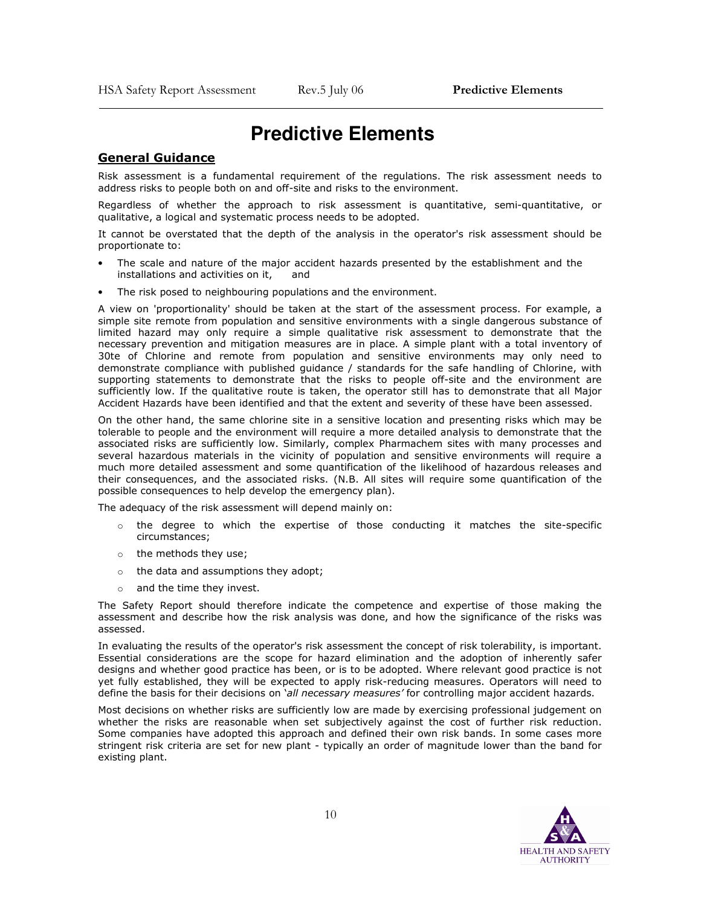# **Predictive Elements**

# General Guidance

 $\overline{\phantom{a}}$ 

Risk assessment is a fundamental requirement of the regulations. The risk assessment needs to address risks to people both on and off-site and risks to the environment.

Regardless of whether the approach to risk assessment is quantitative, semi-quantitative, or qualitative, a logical and systematic process needs to be adopted.

It cannot be overstated that the depth of the analysis in the operator's risk assessment should be proportionate to:

- The scale and nature of the major accident hazards presented by the establishment and the installations and activities on it, and
- The risk posed to neighbouring populations and the environment.

A view on 'proportionality' should be taken at the start of the assessment process. For example, a simple site remote from population and sensitive environments with a single dangerous substance of limited hazard may only require a simple qualitative risk assessment to demonstrate that the necessary prevention and mitigation measures are in place. A simple plant with a total inventory of 30te of Chlorine and remote from population and sensitive environments may only need to demonstrate compliance with published guidance / standards for the safe handling of Chlorine, with supporting statements to demonstrate that the risks to people off-site and the environment are sufficiently low. If the qualitative route is taken, the operator still has to demonstrate that all Major Accident Hazards have been identified and that the extent and severity of these have been assessed.

On the other hand, the same chlorine site in a sensitive location and presenting risks which may be tolerable to people and the environment will require a more detailed analysis to demonstrate that the associated risks are sufficiently low. Similarly, complex Pharmachem sites with many processes and several hazardous materials in the vicinity of population and sensitive environments will require a much more detailed assessment and some quantification of the likelihood of hazardous releases and their consequences, and the associated risks. (N.B. All sites will require some quantification of the possible consequences to help develop the emergency plan).

The adequacy of the risk assessment will depend mainly on:

- the degree to which the expertise of those conducting it matches the site-specific circumstances;
- o the methods they use;
- o the data and assumptions they adopt;
- o and the time they invest.

The Safety Report should therefore indicate the competence and expertise of those making the assessment and describe how the risk analysis was done, and how the significance of the risks was assessed.

In evaluating the results of the operator's risk assessment the concept of risk tolerability, is important. Essential considerations are the scope for hazard elimination and the adoption of inherently safer designs and whether good practice has been, or is to be adopted. Where relevant good practice is not yet fully established, they will be expected to apply risk-reducing measures. Operators will need to define the basis for their decisions on 'all necessary measures' for controlling major accident hazards.

Most decisions on whether risks are sufficiently low are made by exercising professional judgement on whether the risks are reasonable when set subjectively against the cost of further risk reduction. Some companies have adopted this approach and defined their own risk bands. In some cases more stringent risk criteria are set for new plant - typically an order of magnitude lower than the band for existing plant.

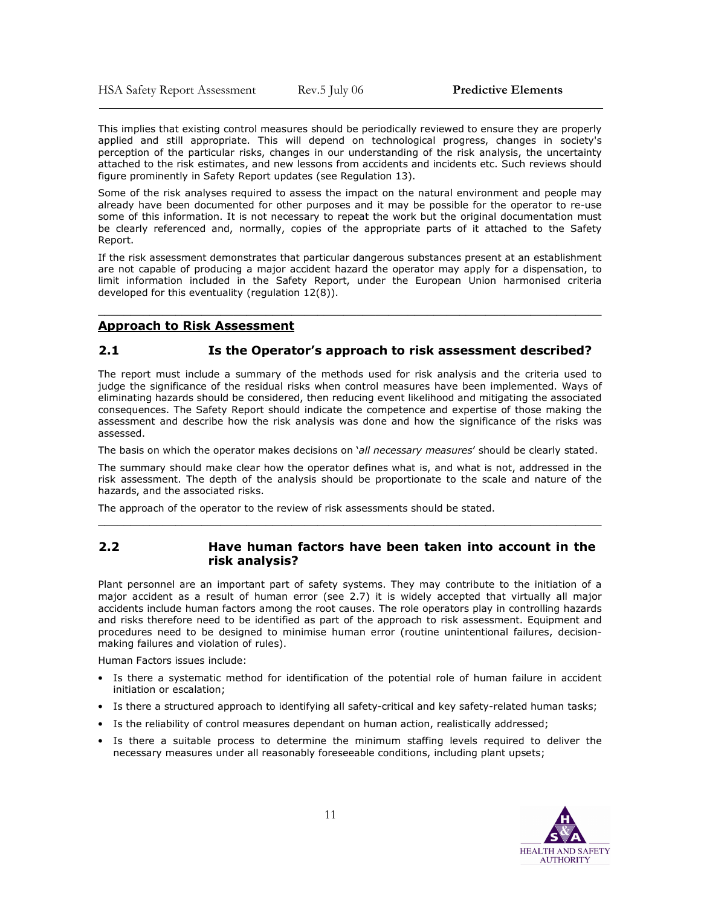HSA Safety Report Assessment Rev.5 July 06 Predictive Elements

 $\overline{\phantom{a}}$ 

This implies that existing control measures should be periodically reviewed to ensure they are properly applied and still appropriate. This will depend on technological progress, changes in society's perception of the particular risks, changes in our understanding of the risk analysis, the uncertainty attached to the risk estimates, and new lessons from accidents and incidents etc. Such reviews should figure prominently in Safety Report updates (see Regulation 13).

Some of the risk analyses required to assess the impact on the natural environment and people may already have been documented for other purposes and it may be possible for the operator to re-use some of this information. It is not necessary to repeat the work but the original documentation must be clearly referenced and, normally, copies of the appropriate parts of it attached to the Safety Report.

If the risk assessment demonstrates that particular dangerous substances present at an establishment are not capable of producing a major accident hazard the operator may apply for a dispensation, to limit information included in the Safety Report, under the European Union harmonised criteria developed for this eventuality (regulation 12(8)).

\_\_\_\_\_\_\_\_\_\_\_\_\_\_\_\_\_\_\_\_\_\_\_\_\_\_\_\_\_\_\_\_\_\_\_\_\_\_\_\_\_\_\_\_\_\_\_\_\_\_\_\_\_\_\_\_\_\_\_\_\_\_\_\_\_\_\_\_\_\_\_\_\_\_\_\_\_\_

#### Approach to Risk Assessment

# 2.1 Is the Operator's approach to risk assessment described?

The report must include a summary of the methods used for risk analysis and the criteria used to judge the significance of the residual risks when control measures have been implemented. Ways of eliminating hazards should be considered, then reducing event likelihood and mitigating the associated consequences. The Safety Report should indicate the competence and expertise of those making the assessment and describe how the risk analysis was done and how the significance of the risks was assessed.

The basis on which the operator makes decisions on 'all necessary measures' should be clearly stated.

The summary should make clear how the operator defines what is, and what is not, addressed in the risk assessment. The depth of the analysis should be proportionate to the scale and nature of the hazards, and the associated risks.

\_\_\_\_\_\_\_\_\_\_\_\_\_\_\_\_\_\_\_\_\_\_\_\_\_\_\_\_\_\_\_\_\_\_\_\_\_\_\_\_\_\_\_\_\_\_\_\_\_\_\_\_\_\_\_\_\_\_\_\_\_\_\_\_\_\_\_\_\_\_\_\_\_\_\_\_\_\_

The approach of the operator to the review of risk assessments should be stated.

#### 2.2 Have human factors have been taken into account in the risk analysis?

Plant personnel are an important part of safety systems. They may contribute to the initiation of a major accident as a result of human error (see 2.7) it is widely accepted that virtually all major accidents include human factors among the root causes. The role operators play in controlling hazards and risks therefore need to be identified as part of the approach to risk assessment. Equipment and procedures need to be designed to minimise human error (routine unintentional failures, decisionmaking failures and violation of rules).

Human Factors issues include:

- Is there a systematic method for identification of the potential role of human failure in accident initiation or escalation;
- Is there a structured approach to identifying all safety-critical and key safety-related human tasks;
- Is the reliability of control measures dependant on human action, realistically addressed;
- Is there a suitable process to determine the minimum staffing levels required to deliver the necessary measures under all reasonably foreseeable conditions, including plant upsets;

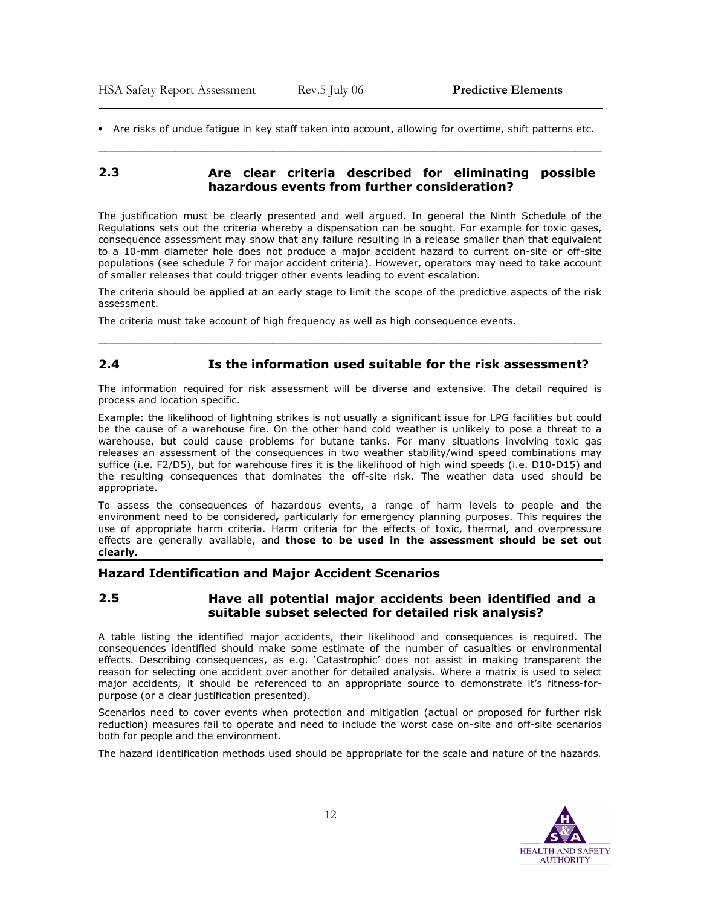• Are risks of undue fatigue in key staff taken into account, allowing for overtime, shift patterns etc. \_\_\_\_\_\_\_\_\_\_\_\_\_\_\_\_\_\_\_\_\_\_\_\_\_\_\_\_\_\_\_\_\_\_\_\_\_\_\_\_\_\_\_\_\_\_\_\_\_\_\_\_\_\_\_\_\_\_\_\_\_\_\_\_\_\_\_\_\_\_\_\_\_\_\_\_\_\_

#### 2.3 Are clear criteria described for eliminating possible hazardous events from further consideration?

The justification must be clearly presented and well argued. In general the Ninth Schedule of the Regulations sets out the criteria whereby a dispensation can be sought. For example for toxic gases, consequence assessment may show that any failure resulting in a release smaller than that equivalent to a 10-mm diameter hole does not produce a major accident hazard to current on-site or off-site populations (see schedule 7 for major accident criteria). However, operators may need to take account of smaller releases that could trigger other events leading to event escalation.

The criteria should be applied at an early stage to limit the scope of the predictive aspects of the risk assessment.

\_\_\_\_\_\_\_\_\_\_\_\_\_\_\_\_\_\_\_\_\_\_\_\_\_\_\_\_\_\_\_\_\_\_\_\_\_\_\_\_\_\_\_\_\_\_\_\_\_\_\_\_\_\_\_\_\_\_\_\_\_\_\_\_\_\_\_\_\_\_\_\_\_\_\_\_\_\_

The criteria must take account of high frequency as well as high consequence events.

#### 2.4 Is the information used suitable for the risk assessment?

The information required for risk assessment will be diverse and extensive. The detail required is process and location specific.

Example: the likelihood of lightning strikes is not usually a significant issue for LPG facilities but could be the cause of a warehouse fire. On the other hand cold weather is unlikely to pose a threat to a warehouse, but could cause problems for butane tanks. For many situations involving toxic gas releases an assessment of the consequences in two weather stability/wind speed combinations may suffice (i.e. F2/D5), but for warehouse fires it is the likelihood of high wind speeds (i.e. D10-D15) and the resulting consequences that dominates the off-site risk. The weather data used should be appropriate.

To assess the consequences of hazardous events, a range of harm levels to people and the environment need to be considered, particularly for emergency planning purposes. This requires the use of appropriate harm criteria. Harm criteria for the effects of toxic, thermal, and overpressure effects are generally available, and those to be used in the assessment should be set out clearly.

#### Hazard Identification and Major Accident Scenarios

#### 2.5 Have all potential major accidents been identified and a suitable subset selected for detailed risk analysis?

A table listing the identified major accidents, their likelihood and consequences is required. The consequences identified should make some estimate of the number of casualties or environmental effects. Describing consequences, as e.g. 'Catastrophic' does not assist in making transparent the reason for selecting one accident over another for detailed analysis. Where a matrix is used to select major accidents, it should be referenced to an appropriate source to demonstrate it's fitness-forpurpose (or a clear justification presented).

Scenarios need to cover events when protection and mitigation (actual or proposed for further risk reduction) measures fail to operate and need to include the worst case on-site and off-site scenarios both for people and the environment.

The hazard identification methods used should be appropriate for the scale and nature of the hazards.

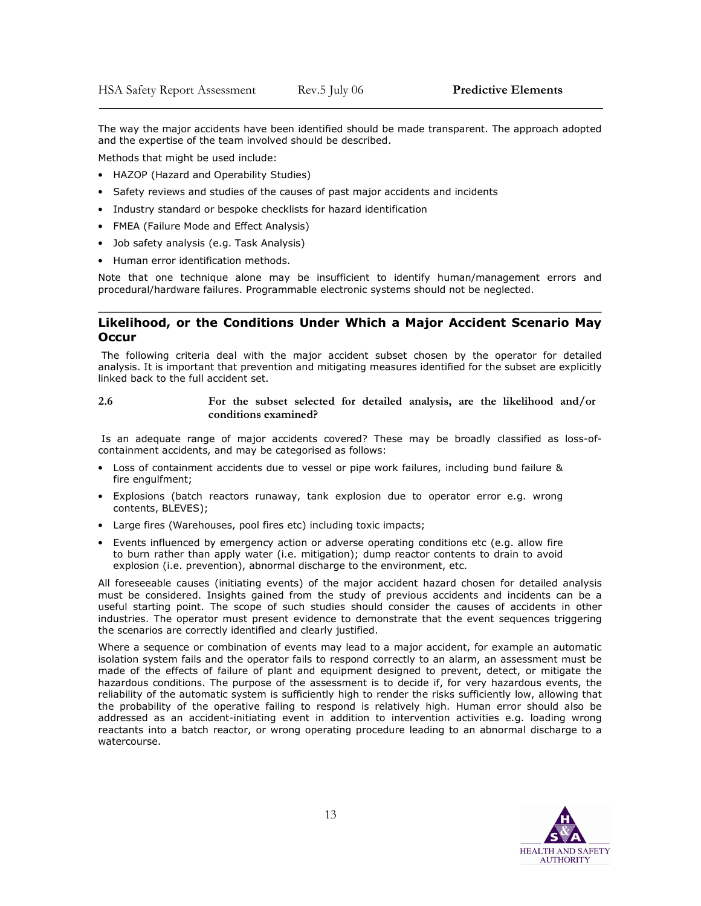The way the major accidents have been identified should be made transparent. The approach adopted and the expertise of the team involved should be described.

Methods that might be used include:

- HAZOP (Hazard and Operability Studies)
- Safety reviews and studies of the causes of past major accidents and incidents
- Industry standard or bespoke checklists for hazard identification
- FMEA (Failure Mode and Effect Analysis)
- Job safety analysis (e.g. Task Analysis)
- Human error identification methods.

Note that one technique alone may be insufficient to identify human/management errors and procedural/hardware failures. Programmable electronic systems should not be neglected.

#### \_\_\_\_\_\_\_\_\_\_\_\_\_\_\_\_\_\_\_\_\_\_\_\_\_\_\_\_\_\_\_\_\_\_\_\_\_\_\_\_\_\_\_\_\_\_\_\_\_\_\_\_\_\_\_\_\_\_\_\_\_\_\_\_\_\_\_\_\_\_\_\_\_\_\_\_\_\_ Likelihood, or the Conditions Under Which a Major Accident Scenario May **Occur**

The following criteria deal with the major accident subset chosen by the operator for detailed analysis. It is important that prevention and mitigating measures identified for the subset are explicitly linked back to the full accident set.

2.6 For the subset selected for detailed analysis, are the likelihood and/or conditions examined?

Is an adequate range of major accidents covered? These may be broadly classified as loss-ofcontainment accidents, and may be categorised as follows:

- Loss of containment accidents due to vessel or pipe work failures, including bund failure & fire engulfment;
- Explosions (batch reactors runaway, tank explosion due to operator error e.g. wrong contents, BLEVES);
- Large fires (Warehouses, pool fires etc) including toxic impacts;
- Events influenced by emergency action or adverse operating conditions etc (e.g. allow fire to burn rather than apply water (i.e. mitigation); dump reactor contents to drain to avoid explosion (i.e. prevention), abnormal discharge to the environment, etc.

All foreseeable causes (initiating events) of the major accident hazard chosen for detailed analysis must be considered. Insights gained from the study of previous accidents and incidents can be a useful starting point. The scope of such studies should consider the causes of accidents in other industries. The operator must present evidence to demonstrate that the event sequences triggering the scenarios are correctly identified and clearly justified.

Where a sequence or combination of events may lead to a major accident, for example an automatic isolation system fails and the operator fails to respond correctly to an alarm, an assessment must be made of the effects of failure of plant and equipment designed to prevent, detect, or mitigate the hazardous conditions. The purpose of the assessment is to decide if, for very hazardous events, the reliability of the automatic system is sufficiently high to render the risks sufficiently low, allowing that the probability of the operative failing to respond is relatively high. Human error should also be addressed as an accident-initiating event in addition to intervention activities e.g. loading wrong reactants into a batch reactor, or wrong operating procedure leading to an abnormal discharge to a watercourse.

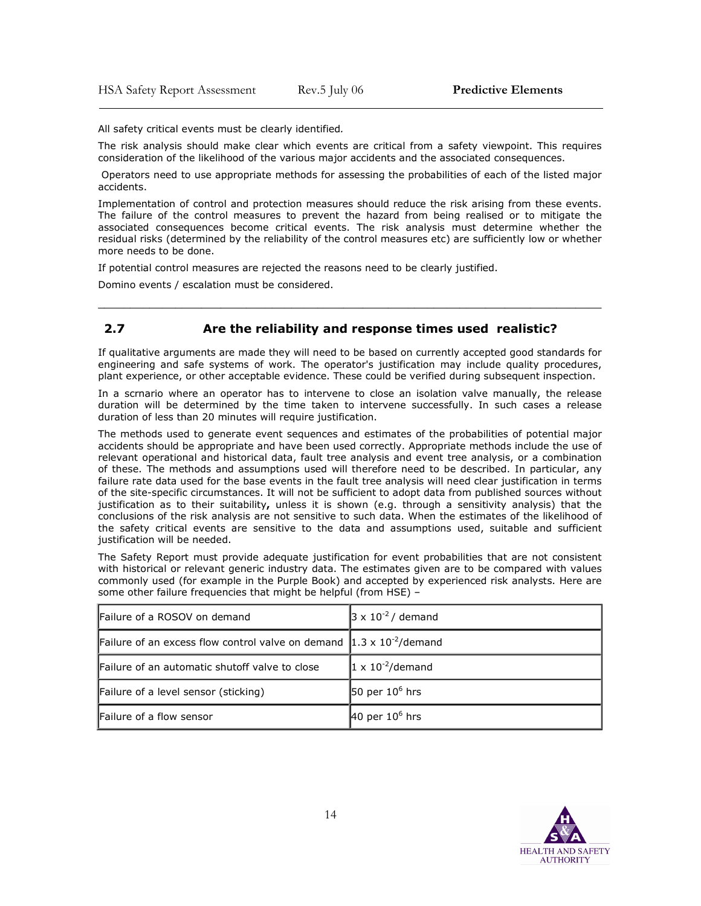All safety critical events must be clearly identified.

The risk analysis should make clear which events are critical from a safety viewpoint. This requires consideration of the likelihood of the various major accidents and the associated consequences.

 Operators need to use appropriate methods for assessing the probabilities of each of the listed major accidents.

Implementation of control and protection measures should reduce the risk arising from these events. The failure of the control measures to prevent the hazard from being realised or to mitigate the associated consequences become critical events. The risk analysis must determine whether the residual risks (determined by the reliability of the control measures etc) are sufficiently low or whether more needs to be done.

If potential control measures are rejected the reasons need to be clearly justified.

Domino events / escalation must be considered.

# 2.7 Are the reliability and response times used realistic?

If qualitative arguments are made they will need to be based on currently accepted good standards for engineering and safe systems of work. The operator's justification may include quality procedures, plant experience, or other acceptable evidence. These could be verified during subsequent inspection.

 $\frac{1}{2}$  ,  $\frac{1}{2}$  ,  $\frac{1}{2}$  ,  $\frac{1}{2}$  ,  $\frac{1}{2}$  ,  $\frac{1}{2}$  ,  $\frac{1}{2}$  ,  $\frac{1}{2}$  ,  $\frac{1}{2}$  ,  $\frac{1}{2}$  ,  $\frac{1}{2}$  ,  $\frac{1}{2}$  ,  $\frac{1}{2}$  ,  $\frac{1}{2}$  ,  $\frac{1}{2}$  ,  $\frac{1}{2}$  ,  $\frac{1}{2}$  ,  $\frac{1}{2}$  ,  $\frac{1$ 

In a scrnario where an operator has to intervene to close an isolation valve manually, the release duration will be determined by the time taken to intervene successfully. In such cases a release duration of less than 20 minutes will require justification.

The methods used to generate event sequences and estimates of the probabilities of potential major accidents should be appropriate and have been used correctly. Appropriate methods include the use of relevant operational and historical data, fault tree analysis and event tree analysis, or a combination of these. The methods and assumptions used will therefore need to be described. In particular, any failure rate data used for the base events in the fault tree analysis will need clear justification in terms of the site-specific circumstances. It will not be sufficient to adopt data from published sources without justification as to their suitability, unless it is shown (e.g. through a sensitivity analysis) that the conclusions of the risk analysis are not sensitive to such data. When the estimates of the likelihood of the safety critical events are sensitive to the data and assumptions used, suitable and sufficient justification will be needed.

The Safety Report must provide adequate justification for event probabilities that are not consistent with historical or relevant generic industry data. The estimates given are to be compared with values commonly used (for example in the Purple Book) and accepted by experienced risk analysts. Here are some other failure frequencies that might be helpful (from HSE) –

| Failure of a ROSOV on demand                                                                | $3 \times 10^{-2}$ / demand |
|---------------------------------------------------------------------------------------------|-----------------------------|
| Failure of an excess flow control valve on demand $\left 1.3 \times 10^{-2} \right $ demand |                             |
| Failure of an automatic shutoff valve to close                                              | $1 \times 10^{-2}$ /demand  |
| Failure of a level sensor (sticking)                                                        | 50 per $10^6$ hrs           |
| Failure of a flow sensor                                                                    | 40 per $10^6$ hrs           |

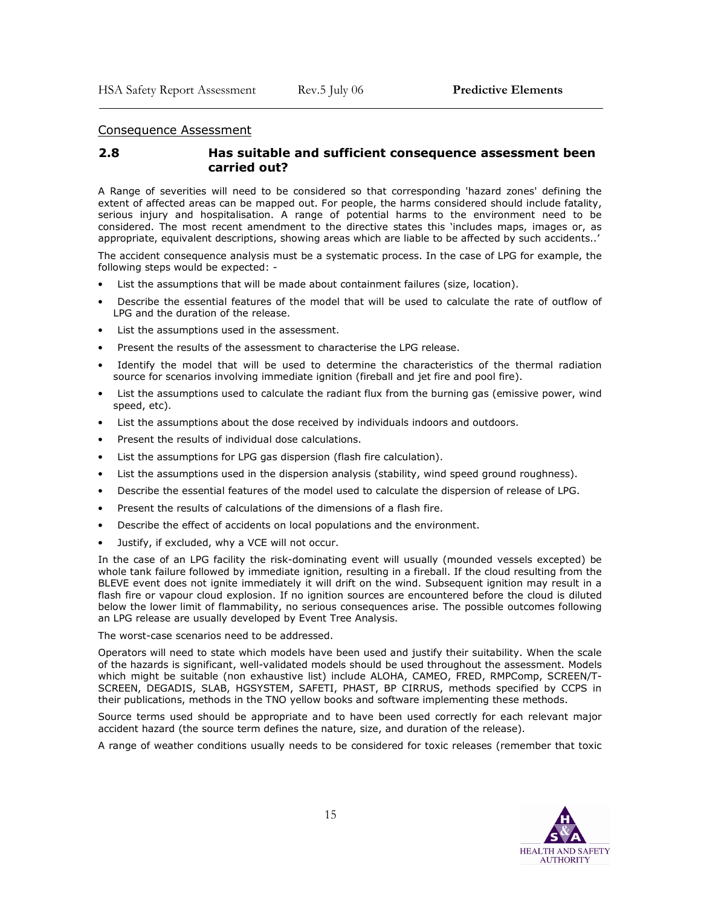#### Consequence Assessment

 $\overline{\phantom{a}}$ 

#### 2.8 Has suitable and sufficient consequence assessment been carried out?

A Range of severities will need to be considered so that corresponding 'hazard zones' defining the extent of affected areas can be mapped out. For people, the harms considered should include fatality, serious injury and hospitalisation. A range of potential harms to the environment need to be considered. The most recent amendment to the directive states this 'includes maps, images or, as appropriate, equivalent descriptions, showing areas which are liable to be affected by such accidents..'

The accident consequence analysis must be a systematic process. In the case of LPG for example, the following steps would be expected: -

- List the assumptions that will be made about containment failures (size, location).
- Describe the essential features of the model that will be used to calculate the rate of outflow of LPG and the duration of the release.
- List the assumptions used in the assessment.
- Present the results of the assessment to characterise the LPG release.
- Identify the model that will be used to determine the characteristics of the thermal radiation source for scenarios involving immediate ignition (fireball and jet fire and pool fire).
- List the assumptions used to calculate the radiant flux from the burning gas (emissive power, wind speed, etc).
- List the assumptions about the dose received by individuals indoors and outdoors.
- Present the results of individual dose calculations.
- List the assumptions for LPG gas dispersion (flash fire calculation).
- List the assumptions used in the dispersion analysis (stability, wind speed ground roughness).
- Describe the essential features of the model used to calculate the dispersion of release of LPG.
- Present the results of calculations of the dimensions of a flash fire.
- Describe the effect of accidents on local populations and the environment.
- Justify, if excluded, why a VCE will not occur.

In the case of an LPG facility the risk-dominating event will usually (mounded vessels excepted) be whole tank failure followed by immediate ignition, resulting in a fireball. If the cloud resulting from the BLEVE event does not ignite immediately it will drift on the wind. Subsequent ignition may result in a flash fire or vapour cloud explosion. If no ignition sources are encountered before the cloud is diluted below the lower limit of flammability, no serious consequences arise. The possible outcomes following an LPG release are usually developed by Event Tree Analysis.

The worst-case scenarios need to be addressed.

Operators will need to state which models have been used and justify their suitability. When the scale of the hazards is significant, well-validated models should be used throughout the assessment. Models which might be suitable (non exhaustive list) include ALOHA, CAMEO, FRED, RMPComp, SCREEN/T-SCREEN, DEGADIS, SLAB, HGSYSTEM, SAFETI, PHAST, BP CIRRUS, methods specified by CCPS in their publications, methods in the TNO yellow books and software implementing these methods.

Source terms used should be appropriate and to have been used correctly for each relevant major accident hazard (the source term defines the nature, size, and duration of the release).

A range of weather conditions usually needs to be considered for toxic releases (remember that toxic

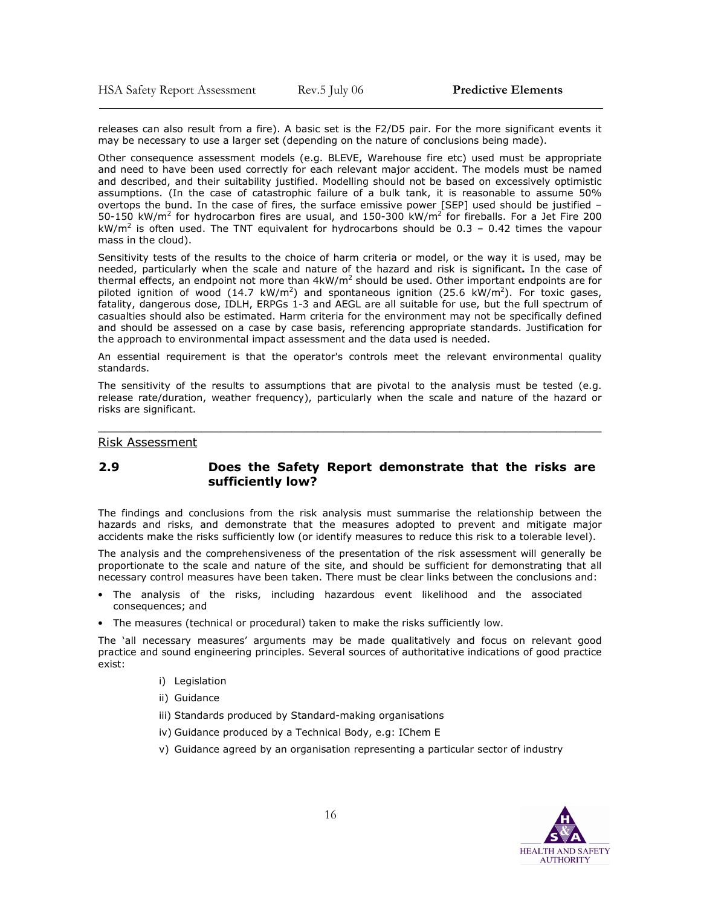releases can also result from a fire). A basic set is the F2/D5 pair. For the more significant events it may be necessary to use a larger set (depending on the nature of conclusions being made).

Other consequence assessment models (e.g. BLEVE, Warehouse fire etc) used must be appropriate and need to have been used correctly for each relevant major accident. The models must be named and described, and their suitability justified. Modelling should not be based on excessively optimistic assumptions. (In the case of catastrophic failure of a bulk tank, it is reasonable to assume 50% overtops the bund. In the case of fires, the surface emissive power [SEP] used should be justified – 50-150 kW/m<sup>2</sup> for hydrocarbon fires are usual, and 150-300 kW/m<sup>2</sup> for fireballs. For a Jet Fire 200 kW/m<sup>2</sup> is often used. The TNT equivalent for hydrocarbons should be 0.3 – 0.42 times the vapour mass in the cloud).

Sensitivity tests of the results to the choice of harm criteria or model, or the way it is used, may be needed, particularly when the scale and nature of the hazard and risk is significant. In the case of thermal effects, an endpoint not more than  $4kW/m^2$  should be used. Other important endpoints are for piloted ignition of wood  $(14.7 \text{ kW/m}^2)$  and spontaneous ignition  $(25.6 \text{ kW/m}^2)$ . For toxic gases, fatality, dangerous dose, IDLH, ERPGs 1-3 and AEGL are all suitable for use, but the full spectrum of casualties should also be estimated. Harm criteria for the environment may not be specifically defined and should be assessed on a case by case basis, referencing appropriate standards. Justification for the approach to environmental impact assessment and the data used is needed.

An essential requirement is that the operator's controls meet the relevant environmental quality standards.

The sensitivity of the results to assumptions that are pivotal to the analysis must be tested (e.g. release rate/duration, weather frequency), particularly when the scale and nature of the hazard or risks are significant.

\_\_\_\_\_\_\_\_\_\_\_\_\_\_\_\_\_\_\_\_\_\_\_\_\_\_\_\_\_\_\_\_\_\_\_\_\_\_\_\_\_\_\_\_\_\_\_\_\_\_\_\_\_\_\_\_\_\_\_\_\_\_\_\_\_\_\_\_\_\_\_\_\_\_\_\_\_\_

#### Risk Assessment

#### 2.9 Does the Safety Report demonstrate that the risks are sufficiently low?

The findings and conclusions from the risk analysis must summarise the relationship between the hazards and risks, and demonstrate that the measures adopted to prevent and mitigate major accidents make the risks sufficiently low (or identify measures to reduce this risk to a tolerable level).

The analysis and the comprehensiveness of the presentation of the risk assessment will generally be proportionate to the scale and nature of the site, and should be sufficient for demonstrating that all necessary control measures have been taken. There must be clear links between the conclusions and:

- The analysis of the risks, including hazardous event likelihood and the associated consequences; and
- The measures (technical or procedural) taken to make the risks sufficiently low.

The 'all necessary measures' arguments may be made qualitatively and focus on relevant good practice and sound engineering principles. Several sources of authoritative indications of good practice exist:

- i) Legislation
- ii) Guidance
- iii) Standards produced by Standard-making organisations
- iv) Guidance produced by a Technical Body, e.g: IChem E
- v) Guidance agreed by an organisation representing a particular sector of industry

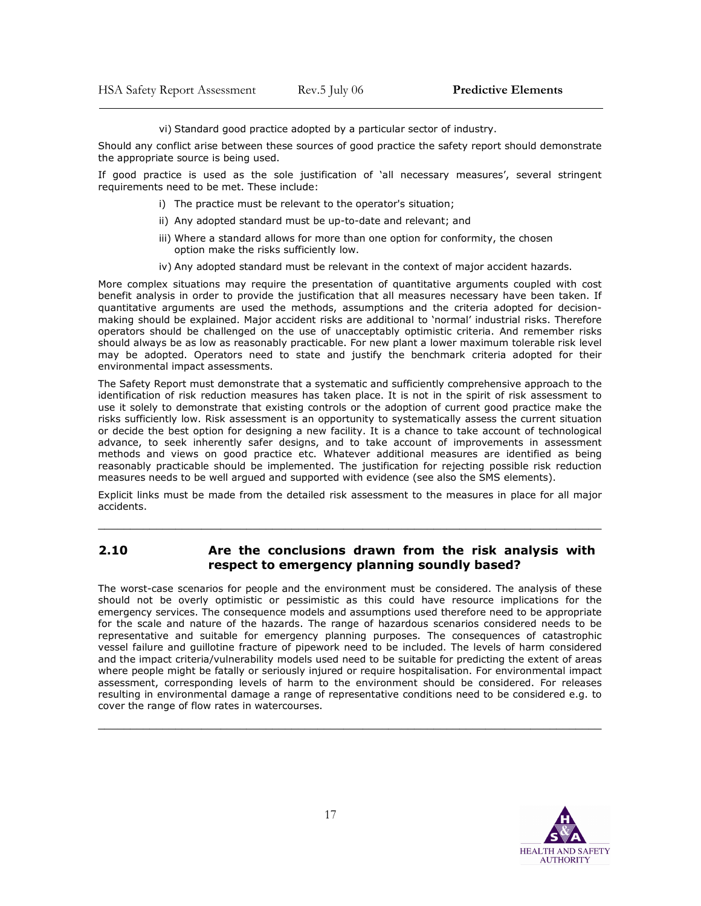vi) Standard good practice adopted by a particular sector of industry.

Should any conflict arise between these sources of good practice the safety report should demonstrate the appropriate source is being used.

If good practice is used as the sole justification of 'all necessary measures', several stringent requirements need to be met. These include:

- i) The practice must be relevant to the operator's situation;
- ii) Any adopted standard must be up-to-date and relevant; and
- iii) Where a standard allows for more than one option for conformity, the chosen option make the risks sufficiently low.
- iv) Any adopted standard must be relevant in the context of major accident hazards.

More complex situations may require the presentation of quantitative arguments coupled with cost benefit analysis in order to provide the justification that all measures necessary have been taken. If quantitative arguments are used the methods, assumptions and the criteria adopted for decisionmaking should be explained. Major accident risks are additional to 'normal' industrial risks. Therefore operators should be challenged on the use of unacceptably optimistic criteria. And remember risks should always be as low as reasonably practicable. For new plant a lower maximum tolerable risk level may be adopted. Operators need to state and justify the benchmark criteria adopted for their environmental impact assessments.

The Safety Report must demonstrate that a systematic and sufficiently comprehensive approach to the identification of risk reduction measures has taken place. It is not in the spirit of risk assessment to use it solely to demonstrate that existing controls or the adoption of current good practice make the risks sufficiently low. Risk assessment is an opportunity to systematically assess the current situation or decide the best option for designing a new facility. It is a chance to take account of technological advance, to seek inherently safer designs, and to take account of improvements in assessment methods and views on good practice etc. Whatever additional measures are identified as being reasonably practicable should be implemented. The justification for rejecting possible risk reduction measures needs to be well argued and supported with evidence (see also the SMS elements).

Explicit links must be made from the detailed risk assessment to the measures in place for all major accidents.

\_\_\_\_\_\_\_\_\_\_\_\_\_\_\_\_\_\_\_\_\_\_\_\_\_\_\_\_\_\_\_\_\_\_\_\_\_\_\_\_\_\_\_\_\_\_\_\_\_\_\_\_\_\_\_\_\_\_\_\_\_\_\_\_\_\_\_\_\_\_\_\_\_\_\_\_\_\_

#### 2.10 Are the conclusions drawn from the risk analysis with respect to emergency planning soundly based?

The worst-case scenarios for people and the environment must be considered. The analysis of these should not be overly optimistic or pessimistic as this could have resource implications for the emergency services. The consequence models and assumptions used therefore need to be appropriate for the scale and nature of the hazards. The range of hazardous scenarios considered needs to be representative and suitable for emergency planning purposes. The consequences of catastrophic vessel failure and guillotine fracture of pipework need to be included. The levels of harm considered and the impact criteria/vulnerability models used need to be suitable for predicting the extent of areas where people might be fatally or seriously injured or require hospitalisation. For environmental impact assessment, corresponding levels of harm to the environment should be considered. For releases resulting in environmental damage a range of representative conditions need to be considered e.g. to cover the range of flow rates in watercourses.

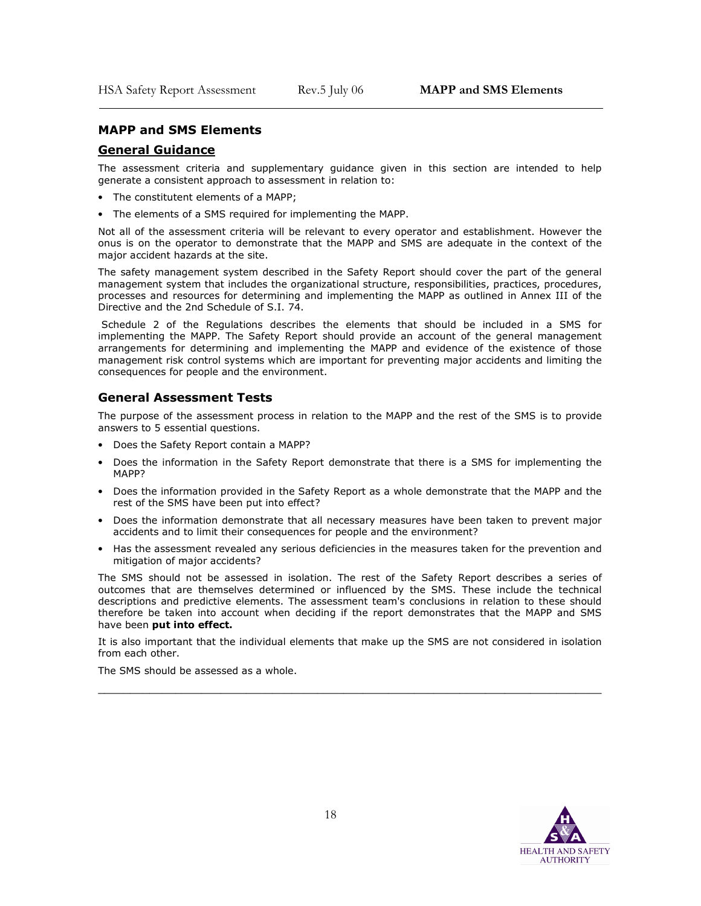#### MAPP and SMS Elements

#### General Guidance

 $\overline{\phantom{a}}$ 

The assessment criteria and supplementary guidance given in this section are intended to help generate a consistent approach to assessment in relation to:

- The constitutent elements of a MAPP;
- The elements of a SMS required for implementing the MAPP.

Not all of the assessment criteria will be relevant to every operator and establishment. However the onus is on the operator to demonstrate that the MAPP and SMS are adequate in the context of the major accident hazards at the site.

The safety management system described in the Safety Report should cover the part of the general management system that includes the organizational structure, responsibilities, practices, procedures, processes and resources for determining and implementing the MAPP as outlined in Annex III of the Directive and the 2nd Schedule of S.I. 74.

 Schedule 2 of the Regulations describes the elements that should be included in a SMS for implementing the MAPP. The Safety Report should provide an account of the general management arrangements for determining and implementing the MAPP and evidence of the existence of those management risk control systems which are important for preventing major accidents and limiting the consequences for people and the environment.

#### General Assessment Tests

The purpose of the assessment process in relation to the MAPP and the rest of the SMS is to provide answers to 5 essential questions.

- Does the Safety Report contain a MAPP?
- Does the information in the Safety Report demonstrate that there is a SMS for implementing the MAPP?
- Does the information provided in the Safety Report as a whole demonstrate that the MAPP and the rest of the SMS have been put into effect?
- Does the information demonstrate that all necessary measures have been taken to prevent major accidents and to limit their consequences for people and the environment?
- Has the assessment revealed any serious deficiencies in the measures taken for the prevention and mitigation of major accidents?

The SMS should not be assessed in isolation. The rest of the Safety Report describes a series of outcomes that are themselves determined or influenced by the SMS. These include the technical descriptions and predictive elements. The assessment team's conclusions in relation to these should therefore be taken into account when deciding if the report demonstrates that the MAPP and SMS have been put into effect.

It is also important that the individual elements that make up the SMS are not considered in isolation from each other.

\_\_\_\_\_\_\_\_\_\_\_\_\_\_\_\_\_\_\_\_\_\_\_\_\_\_\_\_\_\_\_\_\_\_\_\_\_\_\_\_\_\_\_\_\_\_\_\_\_\_\_\_\_\_\_\_\_\_\_\_\_\_\_\_\_\_\_\_\_\_\_\_\_\_\_\_\_\_

The SMS should be assessed as a whole.

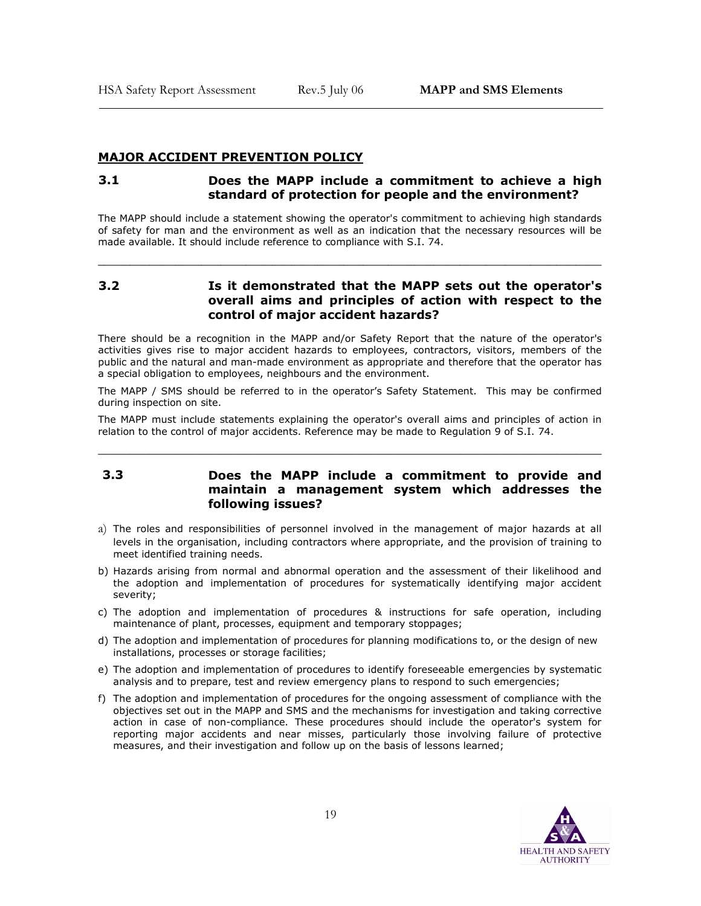#### MAJOR ACCIDENT PREVENTION POLICY

#### 3.1 Does the MAPP include a commitment to achieve a high standard of protection for people and the environment?

The MAPP should include a statement showing the operator's commitment to achieving high standards of safety for man and the environment as well as an indication that the necessary resources will be made available. It should include reference to compliance with S.I. 74.

\_\_\_\_\_\_\_\_\_\_\_\_\_\_\_\_\_\_\_\_\_\_\_\_\_\_\_\_\_\_\_\_\_\_\_\_\_\_\_\_\_\_\_\_\_\_\_\_\_\_\_\_\_\_\_\_\_\_\_\_\_\_\_\_\_\_\_\_\_\_\_\_\_\_\_\_\_\_

# 3.2 Is it demonstrated that the MAPP sets out the operator's overall aims and principles of action with respect to the control of major accident hazards?

There should be a recognition in the MAPP and/or Safety Report that the nature of the operator's activities gives rise to major accident hazards to employees, contractors, visitors, members of the public and the natural and man-made environment as appropriate and therefore that the operator has a special obligation to employees, neighbours and the environment.

The MAPP / SMS should be referred to in the operator's Safety Statement. This may be confirmed during inspection on site.

The MAPP must include statements explaining the operator's overall aims and principles of action in relation to the control of major accidents. Reference may be made to Regulation 9 of S.I. 74.

\_\_\_\_\_\_\_\_\_\_\_\_\_\_\_\_\_\_\_\_\_\_\_\_\_\_\_\_\_\_\_\_\_\_\_\_\_\_\_\_\_\_\_\_\_\_\_\_\_\_\_\_\_\_\_\_\_\_\_\_\_\_\_\_\_\_\_\_\_\_\_\_\_\_\_\_\_\_

#### 3.3 Does the MAPP include a commitment to provide and maintain a management system which addresses the following issues?

- a) The roles and responsibilities of personnel involved in the management of major hazards at all levels in the organisation, including contractors where appropriate, and the provision of training to meet identified training needs.
- b) Hazards arising from normal and abnormal operation and the assessment of their likelihood and the adoption and implementation of procedures for systematically identifying major accident severity;
- c) The adoption and implementation of procedures & instructions for safe operation, including maintenance of plant, processes, equipment and temporary stoppages;
- d) The adoption and implementation of procedures for planning modifications to, or the design of new installations, processes or storage facilities;
- e) The adoption and implementation of procedures to identify foreseeable emergencies by systematic analysis and to prepare, test and review emergency plans to respond to such emergencies;
- f) The adoption and implementation of procedures for the ongoing assessment of compliance with the objectives set out in the MAPP and SMS and the mechanisms for investigation and taking corrective action in case of non-compliance. These procedures should include the operator's system for reporting major accidents and near misses, particularly those involving failure of protective measures, and their investigation and follow up on the basis of lessons learned;

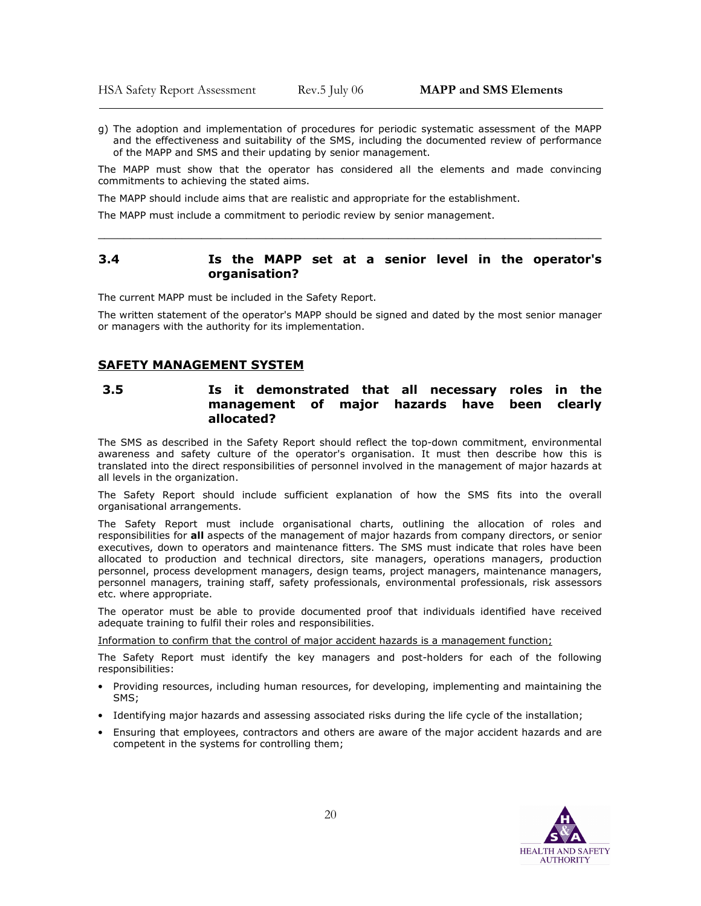g) The adoption and implementation of procedures for periodic systematic assessment of the MAPP and the effectiveness and suitability of the SMS, including the documented review of performance of the MAPP and SMS and their updating by senior management.

The MAPP must show that the operator has considered all the elements and made convincing commitments to achieving the stated aims.

The MAPP should include aims that are realistic and appropriate for the establishment.

The MAPP must include a commitment to periodic review by senior management.

#### 3.4 Is the MAPP set at a senior level in the operator's organisation?

\_\_\_\_\_\_\_\_\_\_\_\_\_\_\_\_\_\_\_\_\_\_\_\_\_\_\_\_\_\_\_\_\_\_\_\_\_\_\_\_\_\_\_\_\_\_\_\_\_\_\_\_\_\_\_\_\_\_\_\_\_\_\_\_\_\_\_\_\_\_\_\_\_\_\_\_\_\_

The current MAPP must be included in the Safety Report.

The written statement of the operator's MAPP should be signed and dated by the most senior manager or managers with the authority for its implementation.

#### SAFETY MANAGEMENT SYSTEM

#### 3.5 Is it demonstrated that all necessary roles in the management of major hazards have been clearly allocated?

The SMS as described in the Safety Report should reflect the top-down commitment, environmental awareness and safety culture of the operator's organisation. It must then describe how this is translated into the direct responsibilities of personnel involved in the management of major hazards at all levels in the organization.

The Safety Report should include sufficient explanation of how the SMS fits into the overall organisational arrangements.

The Safety Report must include organisational charts, outlining the allocation of roles and responsibilities for all aspects of the management of major hazards from company directors, or senior executives, down to operators and maintenance fitters. The SMS must indicate that roles have been allocated to production and technical directors, site managers, operations managers, production personnel, process development managers, design teams, project managers, maintenance managers, personnel managers, training staff, safety professionals, environmental professionals, risk assessors etc. where appropriate.

The operator must be able to provide documented proof that individuals identified have received adequate training to fulfil their roles and responsibilities.

Information to confirm that the control of major accident hazards is a management function;

The Safety Report must identify the key managers and post-holders for each of the following responsibilities:

- Providing resources, including human resources, for developing, implementing and maintaining the SMS;
- Identifying major hazards and assessing associated risks during the life cycle of the installation;
- Ensuring that employees, contractors and others are aware of the major accident hazards and are competent in the systems for controlling them;

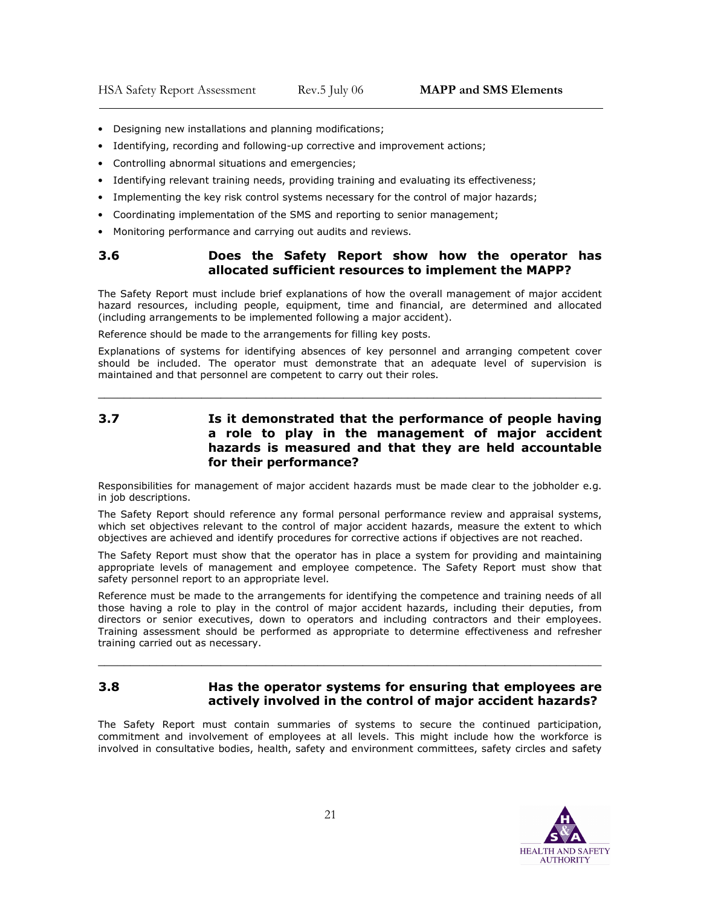- Designing new installations and planning modifications;
- Identifying, recording and following-up corrective and improvement actions;
- Controlling abnormal situations and emergencies;
- Identifying relevant training needs, providing training and evaluating its effectiveness;
- Implementing the key risk control systems necessary for the control of major hazards;
- Coordinating implementation of the SMS and reporting to senior management;
- Monitoring performance and carrying out audits and reviews.

#### 3.6 Does the Safety Report show how the operator has allocated sufficient resources to implement the MAPP?

The Safety Report must include brief explanations of how the overall management of major accident hazard resources, including people, equipment, time and financial, are determined and allocated (including arrangements to be implemented following a major accident).

Reference should be made to the arrangements for filling key posts.

Explanations of systems for identifying absences of key personnel and arranging competent cover should be included. The operator must demonstrate that an adequate level of supervision is maintained and that personnel are competent to carry out their roles.

\_\_\_\_\_\_\_\_\_\_\_\_\_\_\_\_\_\_\_\_\_\_\_\_\_\_\_\_\_\_\_\_\_\_\_\_\_\_\_\_\_\_\_\_\_\_\_\_\_\_\_\_\_\_\_\_\_\_\_\_\_\_\_\_\_\_\_\_\_\_\_\_\_\_\_\_\_\_

3.7 Is it demonstrated that the performance of people having a role to play in the management of major accident hazards is measured and that they are held accountable for their performance?

Responsibilities for management of major accident hazards must be made clear to the jobholder e.g. in job descriptions.

The Safety Report should reference any formal personal performance review and appraisal systems, which set objectives relevant to the control of major accident hazards, measure the extent to which objectives are achieved and identify procedures for corrective actions if objectives are not reached.

The Safety Report must show that the operator has in place a system for providing and maintaining appropriate levels of management and employee competence. The Safety Report must show that safety personnel report to an appropriate level.

Reference must be made to the arrangements for identifying the competence and training needs of all those having a role to play in the control of major accident hazards, including their deputies, from directors or senior executives, down to operators and including contractors and their employees. Training assessment should be performed as appropriate to determine effectiveness and refresher training carried out as necessary.

#### 3.8 Has the operator systems for ensuring that employees are actively involved in the control of major accident hazards?

\_\_\_\_\_\_\_\_\_\_\_\_\_\_\_\_\_\_\_\_\_\_\_\_\_\_\_\_\_\_\_\_\_\_\_\_\_\_\_\_\_\_\_\_\_\_\_\_\_\_\_\_\_\_\_\_\_\_\_\_\_\_\_\_\_\_\_\_\_\_\_\_\_\_\_\_\_\_

The Safety Report must contain summaries of systems to secure the continued participation, commitment and involvement of employees at all levels. This might include how the workforce is involved in consultative bodies, health, safety and environment committees, safety circles and safety

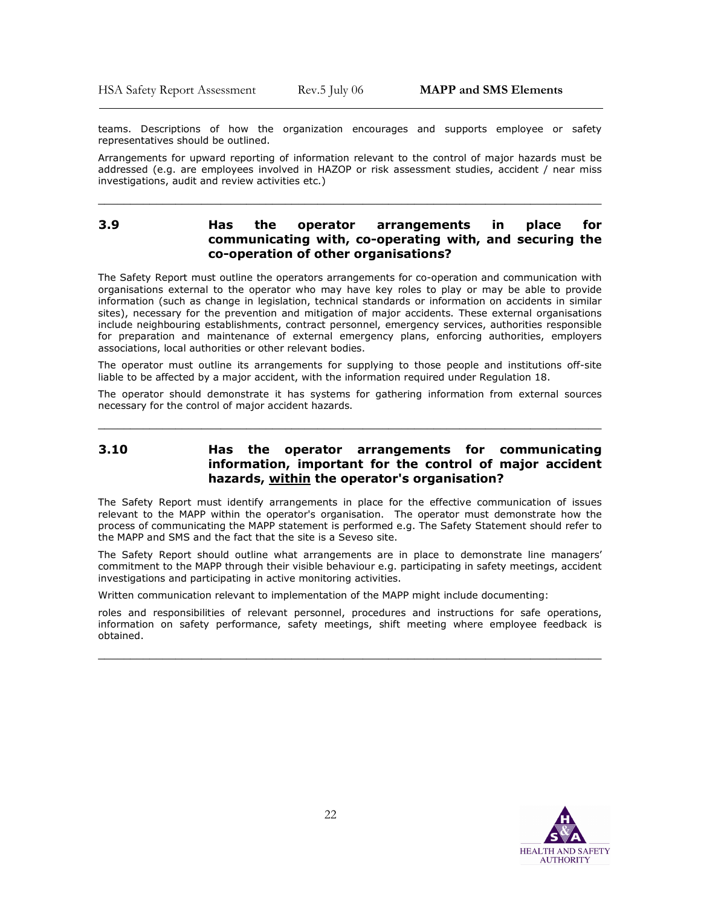teams. Descriptions of how the organization encourages and supports employee or safety representatives should be outlined.

Arrangements for upward reporting of information relevant to the control of major hazards must be addressed (e.g. are employees involved in HAZOP or risk assessment studies, accident / near miss investigations, audit and review activities etc.)

\_\_\_\_\_\_\_\_\_\_\_\_\_\_\_\_\_\_\_\_\_\_\_\_\_\_\_\_\_\_\_\_\_\_\_\_\_\_\_\_\_\_\_\_\_\_\_\_\_\_\_\_\_\_\_\_\_\_\_\_\_\_\_\_\_\_\_\_\_\_\_\_\_\_\_\_\_\_

#### 3.9 Has the operator arrangements in place for communicating with, co-operating with, and securing the co-operation of other organisations?

The Safety Report must outline the operators arrangements for co-operation and communication with organisations external to the operator who may have key roles to play or may be able to provide information (such as change in legislation, technical standards or information on accidents in similar sites), necessary for the prevention and mitigation of major accidents. These external organisations include neighbouring establishments, contract personnel, emergency services, authorities responsible for preparation and maintenance of external emergency plans, enforcing authorities, employers associations, local authorities or other relevant bodies.

The operator must outline its arrangements for supplying to those people and institutions off-site liable to be affected by a major accident, with the information required under Regulation 18.

The operator should demonstrate it has systems for gathering information from external sources necessary for the control of major accident hazards.

\_\_\_\_\_\_\_\_\_\_\_\_\_\_\_\_\_\_\_\_\_\_\_\_\_\_\_\_\_\_\_\_\_\_\_\_\_\_\_\_\_\_\_\_\_\_\_\_\_\_\_\_\_\_\_\_\_\_\_\_\_\_\_\_\_\_\_\_\_\_\_\_\_\_\_\_\_\_

# 3.10 Has the operator arrangements for communicating information, important for the control of major accident hazards, within the operator's organisation?

The Safety Report must identify arrangements in place for the effective communication of issues relevant to the MAPP within the operator's organisation. The operator must demonstrate how the process of communicating the MAPP statement is performed e.g. The Safety Statement should refer to the MAPP and SMS and the fact that the site is a Seveso site.

The Safety Report should outline what arrangements are in place to demonstrate line managers' commitment to the MAPP through their visible behaviour e.g. participating in safety meetings, accident investigations and participating in active monitoring activities.

Written communication relevant to implementation of the MAPP might include documenting:

roles and responsibilities of relevant personnel, procedures and instructions for safe operations, information on safety performance, safety meetings, shift meeting where employee feedback is obtained.

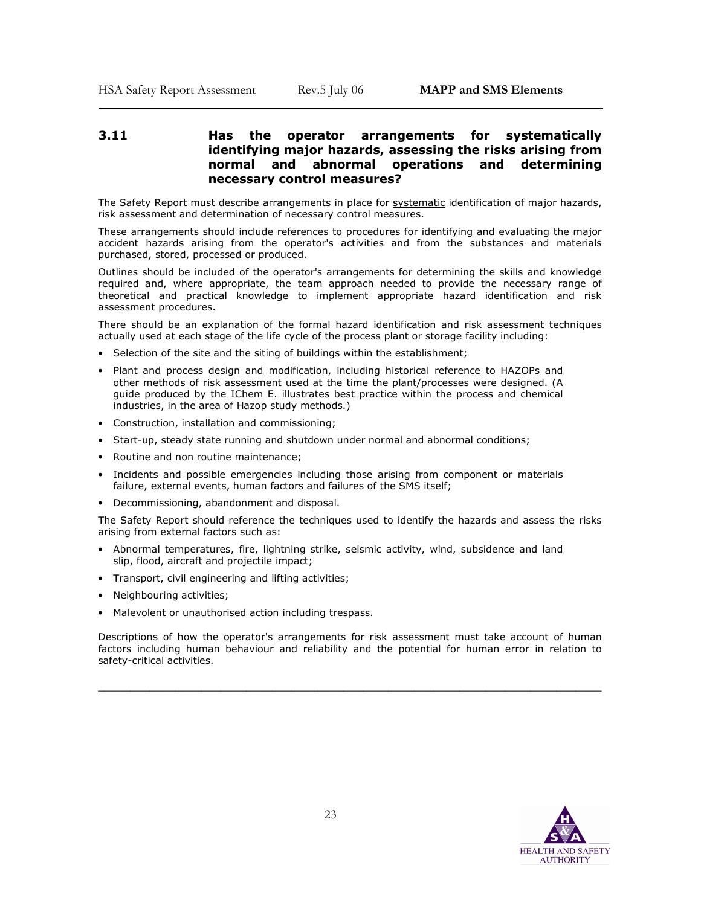# 3.11 Has the operator arrangements for systematically identifying major hazards, assessing the risks arising from normal and abnormal operations and determining necessary control measures?

The Safety Report must describe arrangements in place for systematic identification of major hazards, risk assessment and determination of necessary control measures.

These arrangements should include references to procedures for identifying and evaluating the major accident hazards arising from the operator's activities and from the substances and materials purchased, stored, processed or produced.

Outlines should be included of the operator's arrangements for determining the skills and knowledge required and, where appropriate, the team approach needed to provide the necessary range of theoretical and practical knowledge to implement appropriate hazard identification and risk assessment procedures.

There should be an explanation of the formal hazard identification and risk assessment techniques actually used at each stage of the life cycle of the process plant or storage facility including:

- Selection of the site and the siting of buildings within the establishment;
- Plant and process design and modification, including historical reference to HAZOPs and other methods of risk assessment used at the time the plant/processes were designed. (A guide produced by the IChem E. illustrates best practice within the process and chemical industries, in the area of Hazop study methods.)
- Construction, installation and commissioning;
- Start-up, steady state running and shutdown under normal and abnormal conditions;
- Routine and non routine maintenance;
- Incidents and possible emergencies including those arising from component or materials failure, external events, human factors and failures of the SMS itself;
- Decommissioning, abandonment and disposal.

The Safety Report should reference the techniques used to identify the hazards and assess the risks arising from external factors such as:

- Abnormal temperatures, fire, lightning strike, seismic activity, wind, subsidence and land slip, flood, aircraft and projectile impact;
- Transport, civil engineering and lifting activities;
- Neighbouring activities:
- Malevolent or unauthorised action including trespass.

Descriptions of how the operator's arrangements for risk assessment must take account of human factors including human behaviour and reliability and the potential for human error in relation to safety-critical activities.

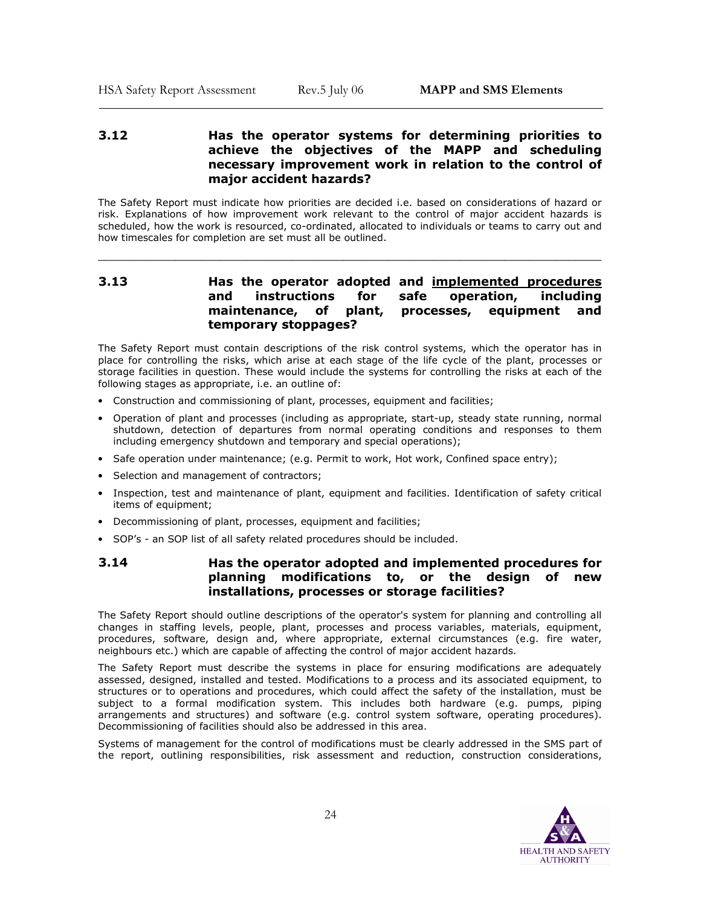### 3.12 Has the operator systems for determining priorities to achieve the objectives of the MAPP and scheduling necessary improvement work in relation to the control of major accident hazards?

The Safety Report must indicate how priorities are decided i.e. based on considerations of hazard or risk. Explanations of how improvement work relevant to the control of major accident hazards is scheduled, how the work is resourced, co-ordinated, allocated to individuals or teams to carry out and how timescales for completion are set must all be outlined.

\_\_\_\_\_\_\_\_\_\_\_\_\_\_\_\_\_\_\_\_\_\_\_\_\_\_\_\_\_\_\_\_\_\_\_\_\_\_\_\_\_\_\_\_\_\_\_\_\_\_\_\_\_\_\_\_\_\_\_\_\_\_\_\_\_\_\_\_\_\_\_\_\_\_\_\_\_\_

# 3.13 **Has the operator adopted and implemented procedures** and instructions for safe operation, including maintenance, of plant, processes, equipment and temporary stoppages?

The Safety Report must contain descriptions of the risk control systems, which the operator has in place for controlling the risks, which arise at each stage of the life cycle of the plant, processes or storage facilities in question. These would include the systems for controlling the risks at each of the following stages as appropriate, i.e. an outline of:

- Construction and commissioning of plant, processes, equipment and facilities;
- Operation of plant and processes (including as appropriate, start-up, steady state running, normal shutdown, detection of departures from normal operating conditions and responses to them including emergency shutdown and temporary and special operations);
- Safe operation under maintenance; (e.g. Permit to work, Hot work, Confined space entry);
- Selection and management of contractors;
- Inspection, test and maintenance of plant, equipment and facilities. Identification of safety critical items of equipment;
- Decommissioning of plant, processes, equipment and facilities;
- SOP's an SOP list of all safety related procedures should be included.

# 3.14 Has the operator adopted and implemented procedures for planning modifications to, or the design of new installations, processes or storage facilities?

The Safety Report should outline descriptions of the operator's system for planning and controlling all changes in staffing levels, people, plant, processes and process variables, materials, equipment, procedures, software, design and, where appropriate, external circumstances (e.g. fire water, neighbours etc.) which are capable of affecting the control of major accident hazards.

The Safety Report must describe the systems in place for ensuring modifications are adequately assessed, designed, installed and tested. Modifications to a process and its associated equipment, to structures or to operations and procedures, which could affect the safety of the installation, must be subject to a formal modification system. This includes both hardware (e.g. pumps, piping arrangements and structures) and software (e.g. control system software, operating procedures). Decommissioning of facilities should also be addressed in this area.

Systems of management for the control of modifications must be clearly addressed in the SMS part of the report, outlining responsibilities, risk assessment and reduction, construction considerations,

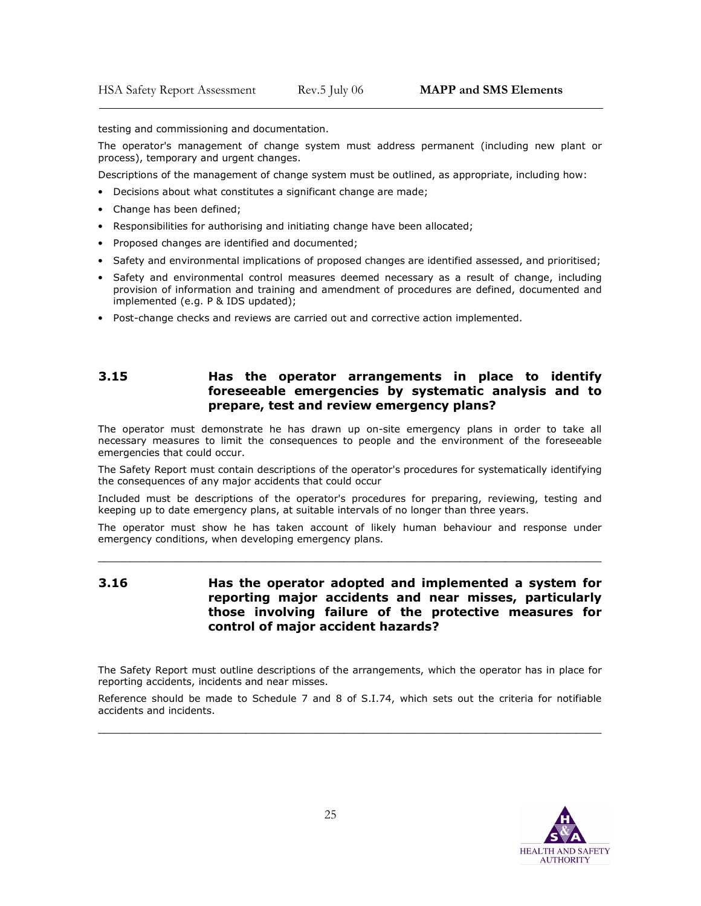testing and commissioning and documentation.

The operator's management of change system must address permanent (including new plant or process), temporary and urgent changes.

Descriptions of the management of change system must be outlined, as appropriate, including how:

- Decisions about what constitutes a significant change are made;
- Change has been defined;

 $\overline{\phantom{a}}$ 

- Responsibilities for authorising and initiating change have been allocated;
- Proposed changes are identified and documented;
- Safety and environmental implications of proposed changes are identified assessed, and prioritised;
- Safety and environmental control measures deemed necessary as a result of change, including provision of information and training and amendment of procedures are defined, documented and implemented (e.g. P & IDS updated);
- Post-change checks and reviews are carried out and corrective action implemented.

### 3.15 Has the operator arrangements in place to identify foreseeable emergencies by systematic analysis and to prepare, test and review emergency plans?

The operator must demonstrate he has drawn up on-site emergency plans in order to take all necessary measures to limit the consequences to people and the environment of the foreseeable emergencies that could occur.

The Safety Report must contain descriptions of the operator's procedures for systematically identifying the consequences of any major accidents that could occur

Included must be descriptions of the operator's procedures for preparing, reviewing, testing and keeping up to date emergency plans, at suitable intervals of no longer than three years.

The operator must show he has taken account of likely human behaviour and response under emergency conditions, when developing emergency plans.

\_\_\_\_\_\_\_\_\_\_\_\_\_\_\_\_\_\_\_\_\_\_\_\_\_\_\_\_\_\_\_\_\_\_\_\_\_\_\_\_\_\_\_\_\_\_\_\_\_\_\_\_\_\_\_\_\_\_\_\_\_\_\_\_\_\_\_\_\_\_\_\_\_\_\_\_\_\_

3.16 Has the operator adopted and implemented a system for reporting major accidents and near misses, particularly those involving failure of the protective measures for control of major accident hazards?

The Safety Report must outline descriptions of the arrangements, which the operator has in place for reporting accidents, incidents and near misses.

Reference should be made to Schedule 7 and 8 of S.I.74, which sets out the criteria for notifiable accidents and incidents.

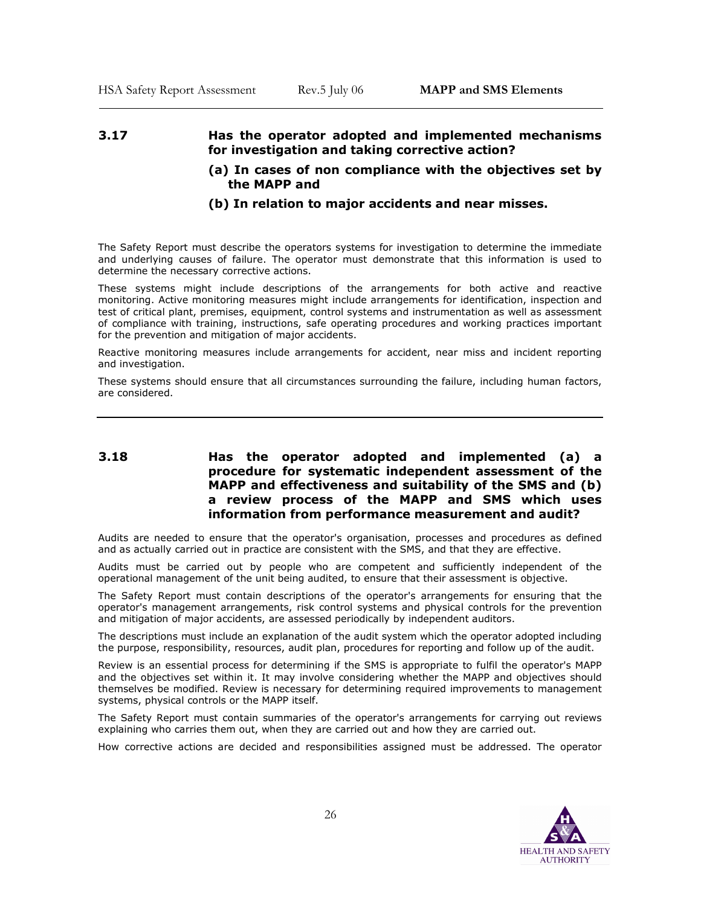# 3.17 Has the operator adopted and implemented mechanisms for investigation and taking corrective action?

(a) In cases of non compliance with the objectives set by the MAPP and

# (b) In relation to major accidents and near misses.

The Safety Report must describe the operators systems for investigation to determine the immediate and underlying causes of failure. The operator must demonstrate that this information is used to determine the necessary corrective actions.

These systems might include descriptions of the arrangements for both active and reactive monitoring. Active monitoring measures might include arrangements for identification, inspection and test of critical plant, premises, equipment, control systems and instrumentation as well as assessment of compliance with training, instructions, safe operating procedures and working practices important for the prevention and mitigation of major accidents.

Reactive monitoring measures include arrangements for accident, near miss and incident reporting and investigation.

These systems should ensure that all circumstances surrounding the failure, including human factors, are considered.

# 3.18 Has the operator adopted and implemented (a) a procedure for systematic independent assessment of the MAPP and effectiveness and suitability of the SMS and (b) a review process of the MAPP and SMS which uses information from performance measurement and audit?

Audits are needed to ensure that the operator's organisation, processes and procedures as defined and as actually carried out in practice are consistent with the SMS, and that they are effective.

Audits must be carried out by people who are competent and sufficiently independent of the operational management of the unit being audited, to ensure that their assessment is objective.

The Safety Report must contain descriptions of the operator's arrangements for ensuring that the operator's management arrangements, risk control systems and physical controls for the prevention and mitigation of major accidents, are assessed periodically by independent auditors.

The descriptions must include an explanation of the audit system which the operator adopted including the purpose, responsibility, resources, audit plan, procedures for reporting and follow up of the audit.

Review is an essential process for determining if the SMS is appropriate to fulfil the operator's MAPP and the objectives set within it. It may involve considering whether the MAPP and objectives should themselves be modified. Review is necessary for determining required improvements to management systems, physical controls or the MAPP itself.

The Safety Report must contain summaries of the operator's arrangements for carrying out reviews explaining who carries them out, when they are carried out and how they are carried out.

How corrective actions are decided and responsibilities assigned must be addressed. The operator

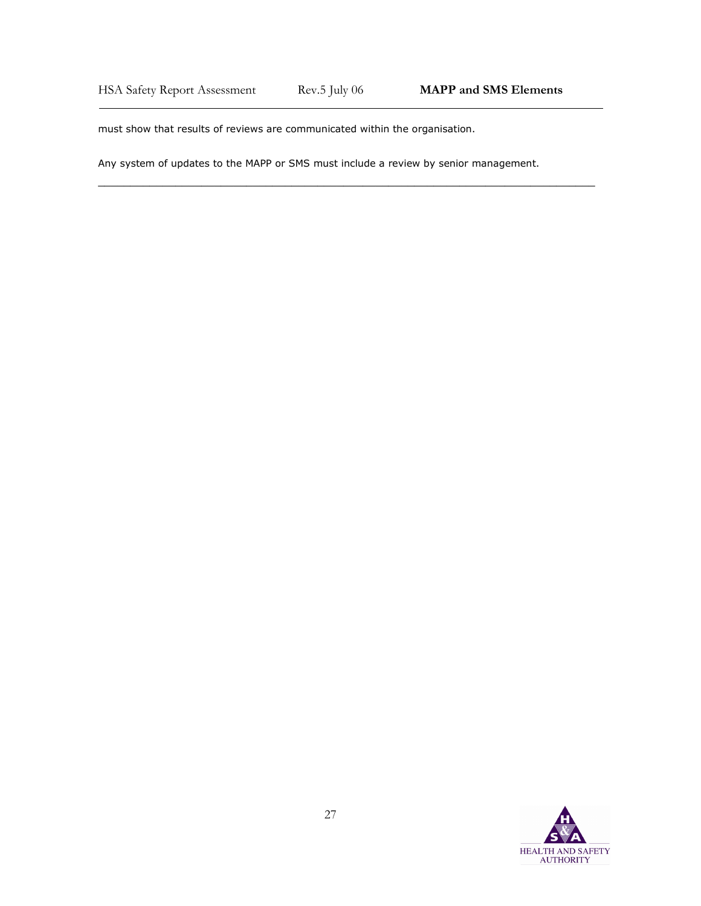\_\_\_\_\_\_\_\_\_\_\_\_\_\_\_\_\_\_\_\_\_\_\_\_\_\_\_\_\_\_\_\_\_\_\_\_\_\_\_\_\_\_\_\_\_\_\_\_\_\_\_\_\_\_\_\_\_\_\_\_\_\_\_\_\_\_\_\_\_\_\_\_\_\_\_\_\_

must show that results of reviews are communicated within the organisation.

Any system of updates to the MAPP or SMS must include a review by senior management.

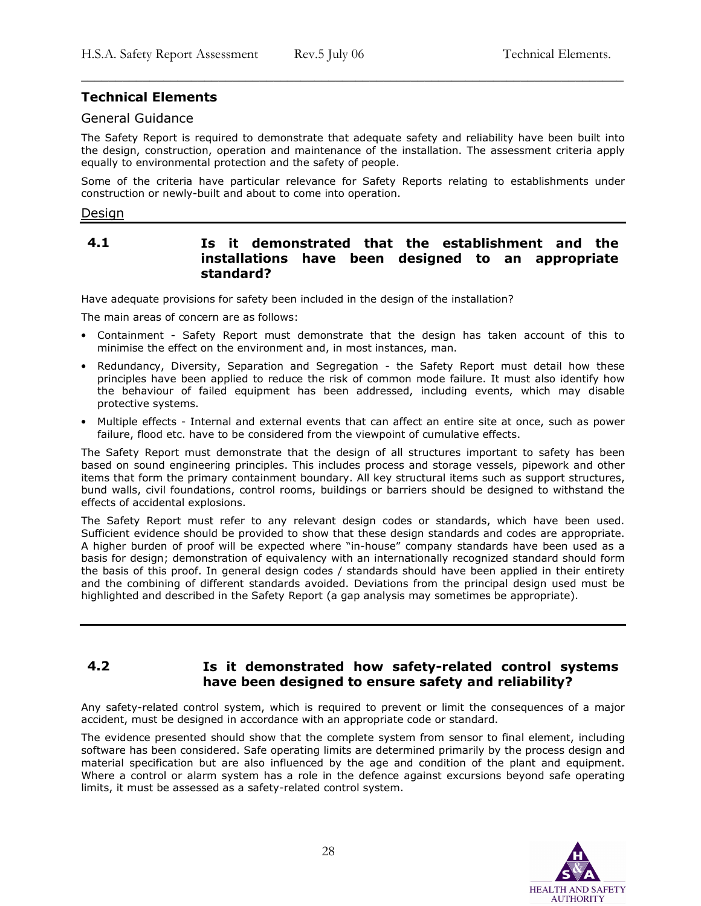# Technical Elements

# General Guidance

The Safety Report is required to demonstrate that adequate safety and reliability have been built into the design, construction, operation and maintenance of the installation. The assessment criteria apply equally to environmental protection and the safety of people.

\_\_\_\_\_\_\_\_\_\_\_\_\_\_\_\_\_\_\_\_\_\_\_\_\_\_\_\_\_\_\_\_\_\_\_\_\_\_\_\_\_\_\_\_\_\_\_\_\_\_\_\_\_\_\_\_\_\_\_\_\_\_\_\_\_\_\_\_\_\_\_\_\_\_\_\_\_\_\_

Some of the criteria have particular relevance for Safety Reports relating to establishments under construction or newly-built and about to come into operation.

#### Design

# 4.1 Is it demonstrated that the establishment and the installations have been designed to an appropriate standard?

Have adequate provisions for safety been included in the design of the installation?

The main areas of concern are as follows:

- Containment Safety Report must demonstrate that the design has taken account of this to minimise the effect on the environment and, in most instances, man.
- Redundancy, Diversity, Separation and Segregation the Safety Report must detail how these principles have been applied to reduce the risk of common mode failure. It must also identify how the behaviour of failed equipment has been addressed, including events, which may disable protective systems.
- Multiple effects Internal and external events that can affect an entire site at once, such as power failure, flood etc. have to be considered from the viewpoint of cumulative effects.

The Safety Report must demonstrate that the design of all structures important to safety has been based on sound engineering principles. This includes process and storage vessels, pipework and other items that form the primary containment boundary. All key structural items such as support structures, bund walls, civil foundations, control rooms, buildings or barriers should be designed to withstand the effects of accidental explosions.

The Safety Report must refer to any relevant design codes or standards, which have been used. Sufficient evidence should be provided to show that these design standards and codes are appropriate. A higher burden of proof will be expected where "in-house" company standards have been used as a basis for design; demonstration of equivalency with an internationally recognized standard should form the basis of this proof. In general design codes / standards should have been applied in their entirety and the combining of different standards avoided. Deviations from the principal design used must be highlighted and described in the Safety Report (a gap analysis may sometimes be appropriate).

# 4.2 Is it demonstrated how safety-related control systems have been designed to ensure safety and reliability?

Any safety-related control system, which is required to prevent or limit the consequences of a major accident, must be designed in accordance with an appropriate code or standard.

The evidence presented should show that the complete system from sensor to final element, including software has been considered. Safe operating limits are determined primarily by the process design and material specification but are also influenced by the age and condition of the plant and equipment. Where a control or alarm system has a role in the defence against excursions beyond safe operating limits, it must be assessed as a safety-related control system.

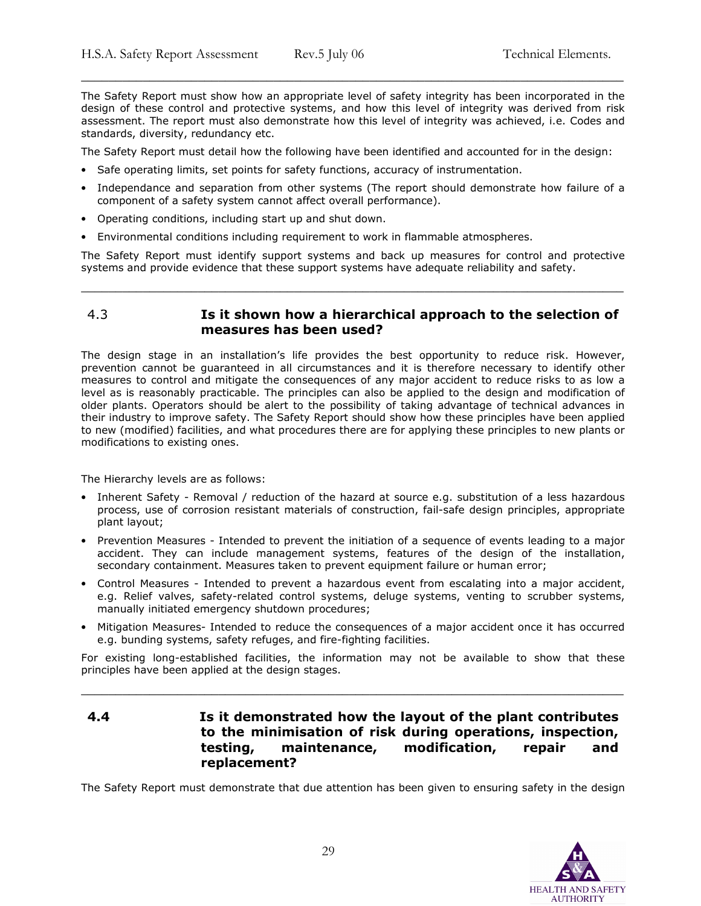The Safety Report must show how an appropriate level of safety integrity has been incorporated in the design of these control and protective systems, and how this level of integrity was derived from risk assessment. The report must also demonstrate how this level of integrity was achieved, i.e. Codes and standards, diversity, redundancy etc.

\_\_\_\_\_\_\_\_\_\_\_\_\_\_\_\_\_\_\_\_\_\_\_\_\_\_\_\_\_\_\_\_\_\_\_\_\_\_\_\_\_\_\_\_\_\_\_\_\_\_\_\_\_\_\_\_\_\_\_\_\_\_\_\_\_\_\_\_\_\_\_\_\_\_\_\_\_\_\_

The Safety Report must detail how the following have been identified and accounted for in the design:

- Safe operating limits, set points for safety functions, accuracy of instrumentation.
- Independance and separation from other systems (The report should demonstrate how failure of a component of a safety system cannot affect overall performance).
- Operating conditions, including start up and shut down.
- Environmental conditions including requirement to work in flammable atmospheres.

The Safety Report must identify support systems and back up measures for control and protective systems and provide evidence that these support systems have adequate reliability and safety.

\_\_\_\_\_\_\_\_\_\_\_\_\_\_\_\_\_\_\_\_\_\_\_\_\_\_\_\_\_\_\_\_\_\_\_\_\_\_\_\_\_\_\_\_\_\_\_\_\_\_\_\_\_\_\_\_\_\_\_\_\_\_\_\_\_\_\_\_\_\_\_\_\_\_\_\_\_\_\_

# 4.3 Is it shown how a hierarchical approach to the selection of measures has been used?

The design stage in an installation's life provides the best opportunity to reduce risk. However, prevention cannot be guaranteed in all circumstances and it is therefore necessary to identify other measures to control and mitigate the consequences of any major accident to reduce risks to as low a level as is reasonably practicable. The principles can also be applied to the design and modification of older plants. Operators should be alert to the possibility of taking advantage of technical advances in their industry to improve safety. The Safety Report should show how these principles have been applied to new (modified) facilities, and what procedures there are for applying these principles to new plants or modifications to existing ones.

The Hierarchy levels are as follows:

- Inherent Safety Removal / reduction of the hazard at source e.g. substitution of a less hazardous process, use of corrosion resistant materials of construction, fail-safe design principles, appropriate plant layout;
- Prevention Measures Intended to prevent the initiation of a sequence of events leading to a major accident. They can include management systems, features of the design of the installation, secondary containment. Measures taken to prevent equipment failure or human error;
- Control Measures Intended to prevent a hazardous event from escalating into a major accident, e.g. Relief valves, safety-related control systems, deluge systems, venting to scrubber systems, manually initiated emergency shutdown procedures;
- Mitigation Measures- Intended to reduce the consequences of a major accident once it has occurred e.g. bunding systems, safety refuges, and fire-fighting facilities.

For existing long-established facilities, the information may not be available to show that these principles have been applied at the design stages.

\_\_\_\_\_\_\_\_\_\_\_\_\_\_\_\_\_\_\_\_\_\_\_\_\_\_\_\_\_\_\_\_\_\_\_\_\_\_\_\_\_\_\_\_\_\_\_\_\_\_\_\_\_\_\_\_\_\_\_\_\_\_\_\_\_\_\_\_\_\_\_\_\_\_\_\_\_\_\_

# 4.4 Is it demonstrated how the layout of the plant contributes to the minimisation of risk during operations, inspection, testing, maintenance, modification, repair and replacement?

The Safety Report must demonstrate that due attention has been given to ensuring safety in the design

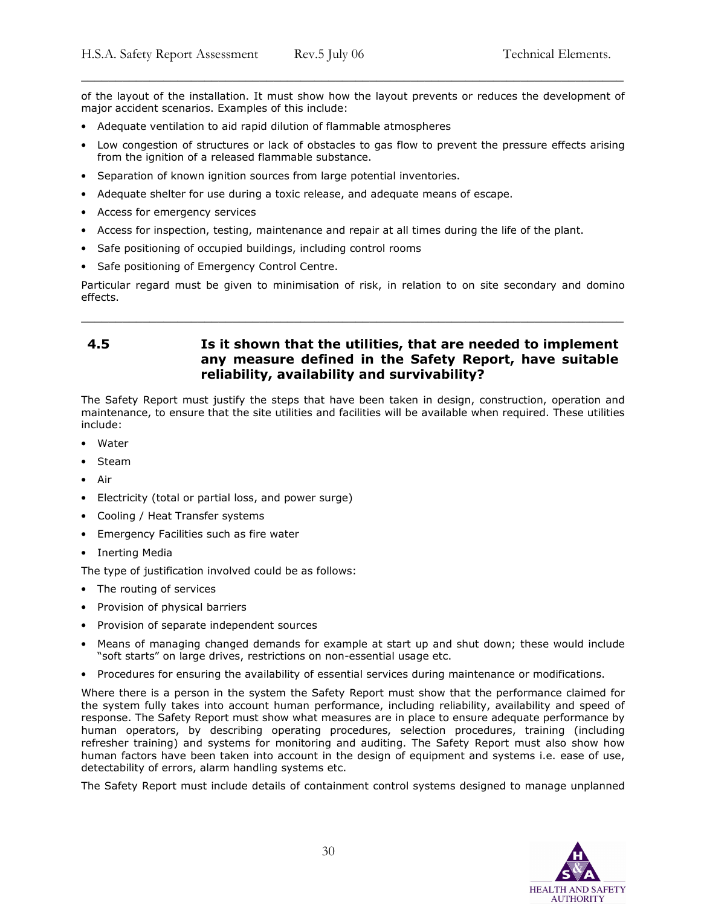of the layout of the installation. It must show how the layout prevents or reduces the development of major accident scenarios. Examples of this include:

\_\_\_\_\_\_\_\_\_\_\_\_\_\_\_\_\_\_\_\_\_\_\_\_\_\_\_\_\_\_\_\_\_\_\_\_\_\_\_\_\_\_\_\_\_\_\_\_\_\_\_\_\_\_\_\_\_\_\_\_\_\_\_\_\_\_\_\_\_\_\_\_\_\_\_\_\_\_\_

- Adequate ventilation to aid rapid dilution of flammable atmospheres
- Low congestion of structures or lack of obstacles to gas flow to prevent the pressure effects arising from the ignition of a released flammable substance.
- Separation of known ignition sources from large potential inventories.
- Adequate shelter for use during a toxic release, and adequate means of escape.
- Access for emergency services
- Access for inspection, testing, maintenance and repair at all times during the life of the plant.
- Safe positioning of occupied buildings, including control rooms
- Safe positioning of Emergency Control Centre.

Particular regard must be given to minimisation of risk, in relation to on site secondary and domino effects.

\_\_\_\_\_\_\_\_\_\_\_\_\_\_\_\_\_\_\_\_\_\_\_\_\_\_\_\_\_\_\_\_\_\_\_\_\_\_\_\_\_\_\_\_\_\_\_\_\_\_\_\_\_\_\_\_\_\_\_\_\_\_\_\_\_\_\_\_\_\_\_\_\_\_\_\_\_\_\_

# 4.5 Is it shown that the utilities, that are needed to implement any measure defined in the Safety Report, have suitable reliability, availability and survivability?

The Safety Report must justify the steps that have been taken in design, construction, operation and maintenance, to ensure that the site utilities and facilities will be available when required. These utilities include:

- Water
- Steam
- Air
- Electricity (total or partial loss, and power surge)
- Cooling / Heat Transfer systems
- Emergency Facilities such as fire water
- Inerting Media

The type of justification involved could be as follows:

- The routing of services
- Provision of physical barriers
- Provision of separate independent sources
- Means of managing changed demands for example at start up and shut down; these would include "soft starts" on large drives, restrictions on non-essential usage etc.
- Procedures for ensuring the availability of essential services during maintenance or modifications.

Where there is a person in the system the Safety Report must show that the performance claimed for the system fully takes into account human performance, including reliability, availability and speed of response. The Safety Report must show what measures are in place to ensure adequate performance by human operators, by describing operating procedures, selection procedures, training (including refresher training) and systems for monitoring and auditing. The Safety Report must also show how human factors have been taken into account in the design of equipment and systems i.e. ease of use, detectability of errors, alarm handling systems etc.

The Safety Report must include details of containment control systems designed to manage unplanned

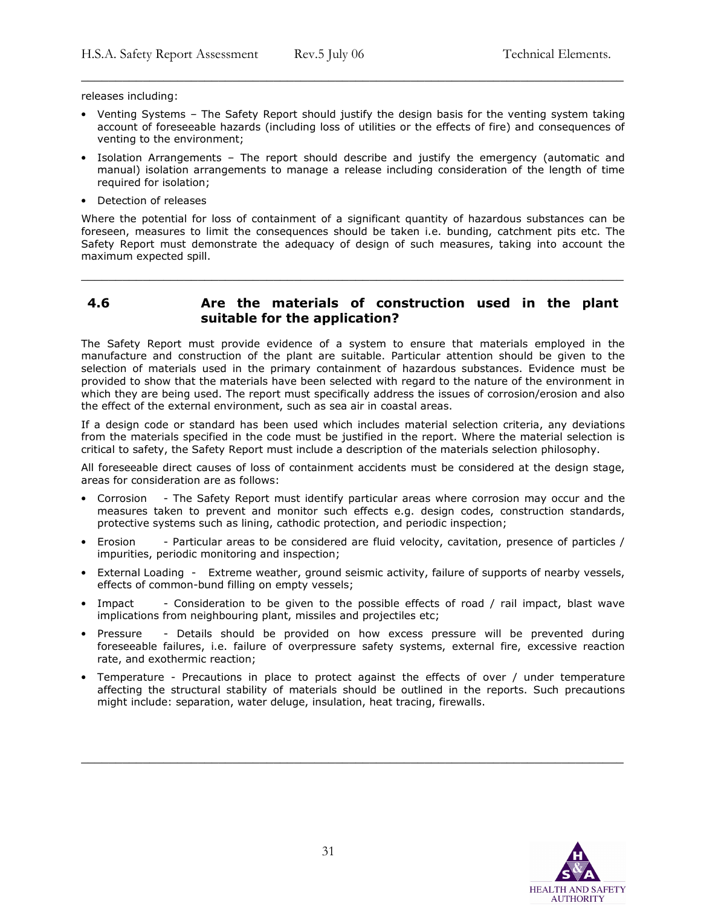releases including:

• Venting Systems – The Safety Report should justify the design basis for the venting system taking account of foreseeable hazards (including loss of utilities or the effects of fire) and consequences of venting to the environment;

\_\_\_\_\_\_\_\_\_\_\_\_\_\_\_\_\_\_\_\_\_\_\_\_\_\_\_\_\_\_\_\_\_\_\_\_\_\_\_\_\_\_\_\_\_\_\_\_\_\_\_\_\_\_\_\_\_\_\_\_\_\_\_\_\_\_\_\_\_\_\_\_\_\_\_\_\_\_\_

- Isolation Arrangements The report should describe and justify the emergency (automatic and manual) isolation arrangements to manage a release including consideration of the length of time required for isolation;
- Detection of releases

Where the potential for loss of containment of a significant quantity of hazardous substances can be foreseen, measures to limit the consequences should be taken i.e. bunding, catchment pits etc. The Safety Report must demonstrate the adequacy of design of such measures, taking into account the maximum expected spill.

# 4.6 Are the materials of construction used in the plant suitable for the application?

\_\_\_\_\_\_\_\_\_\_\_\_\_\_\_\_\_\_\_\_\_\_\_\_\_\_\_\_\_\_\_\_\_\_\_\_\_\_\_\_\_\_\_\_\_\_\_\_\_\_\_\_\_\_\_\_\_\_\_\_\_\_\_\_\_\_\_\_\_\_\_\_\_\_\_\_\_\_\_

The Safety Report must provide evidence of a system to ensure that materials employed in the manufacture and construction of the plant are suitable. Particular attention should be given to the selection of materials used in the primary containment of hazardous substances. Evidence must be provided to show that the materials have been selected with regard to the nature of the environment in which they are being used. The report must specifically address the issues of corrosion/erosion and also the effect of the external environment, such as sea air in coastal areas.

If a design code or standard has been used which includes material selection criteria, any deviations from the materials specified in the code must be justified in the report. Where the material selection is critical to safety, the Safety Report must include a description of the materials selection philosophy.

All foreseeable direct causes of loss of containment accidents must be considered at the design stage, areas for consideration are as follows:

- Corrosion The Safety Report must identify particular areas where corrosion may occur and the measures taken to prevent and monitor such effects e.g. design codes, construction standards, protective systems such as lining, cathodic protection, and periodic inspection;
- Erosion Particular areas to be considered are fluid velocity, cavitation, presence of particles / impurities, periodic monitoring and inspection;
- External Loading Extreme weather, ground seismic activity, failure of supports of nearby vessels, effects of common-bund filling on empty vessels;
- Impact Consideration to be given to the possible effects of road / rail impact, blast wave implications from neighbouring plant, missiles and projectiles etc;
- Pressure Details should be provided on how excess pressure will be prevented during foreseeable failures, i.e. failure of overpressure safety systems, external fire, excessive reaction rate, and exothermic reaction;
- Temperature Precautions in place to protect against the effects of over / under temperature affecting the structural stability of materials should be outlined in the reports. Such precautions might include: separation, water deluge, insulation, heat tracing, firewalls.

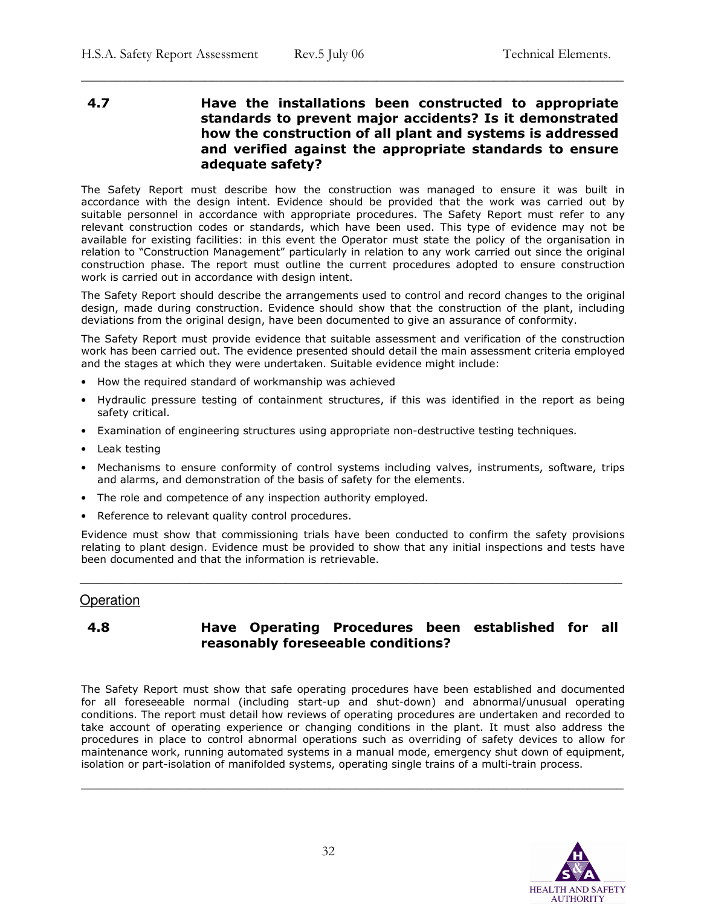# 4.7 Have the installations been constructed to appropriate standards to prevent major accidents? Is it demonstrated how the construction of all plant and systems is addressed and verified against the appropriate standards to ensure adequate safety?

\_\_\_\_\_\_\_\_\_\_\_\_\_\_\_\_\_\_\_\_\_\_\_\_\_\_\_\_\_\_\_\_\_\_\_\_\_\_\_\_\_\_\_\_\_\_\_\_\_\_\_\_\_\_\_\_\_\_\_\_\_\_\_\_\_\_\_\_\_\_\_\_\_\_\_\_\_\_\_

The Safety Report must describe how the construction was managed to ensure it was built in accordance with the design intent. Evidence should be provided that the work was carried out by suitable personnel in accordance with appropriate procedures. The Safety Report must refer to any relevant construction codes or standards, which have been used. This type of evidence may not be available for existing facilities: in this event the Operator must state the policy of the organisation in relation to "Construction Management" particularly in relation to any work carried out since the original construction phase. The report must outline the current procedures adopted to ensure construction work is carried out in accordance with design intent.

The Safety Report should describe the arrangements used to control and record changes to the original design, made during construction. Evidence should show that the construction of the plant, including deviations from the original design, have been documented to give an assurance of conformity.

The Safety Report must provide evidence that suitable assessment and verification of the construction work has been carried out. The evidence presented should detail the main assessment criteria employed and the stages at which they were undertaken. Suitable evidence might include:

- How the required standard of workmanship was achieved
- Hydraulic pressure testing of containment structures, if this was identified in the report as being safety critical.
- Examination of engineering structures using appropriate non-destructive testing techniques.
- Leak testing
- Mechanisms to ensure conformity of control systems including valves, instruments, software, trips and alarms, and demonstration of the basis of safety for the elements.
- The role and competence of any inspection authority employed.
- Reference to relevant quality control procedures.

Evidence must show that commissioning trials have been conducted to confirm the safety provisions relating to plant design. Evidence must be provided to show that any initial inspections and tests have been documented and that the information is retrievable.

\_\_\_\_\_\_\_\_\_\_\_\_\_\_\_\_\_\_\_\_\_\_\_\_\_\_\_\_\_\_\_\_\_\_\_\_\_\_\_\_\_\_\_\_\_\_\_\_\_\_\_\_\_\_\_\_\_\_\_\_\_\_\_\_\_\_\_\_\_\_\_\_\_\_\_\_\_\_\_

# **Operation**

# 4.8 Have Operating Procedures been established for all reasonably foreseeable conditions?

The Safety Report must show that safe operating procedures have been established and documented for all foreseeable normal (including start-up and shut-down) and abnormal/unusual operating conditions. The report must detail how reviews of operating procedures are undertaken and recorded to take account of operating experience or changing conditions in the plant. It must also address the procedures in place to control abnormal operations such as overriding of safety devices to allow for maintenance work, running automated systems in a manual mode, emergency shut down of equipment, isolation or part-isolation of manifolded systems, operating single trains of a multi-train process.

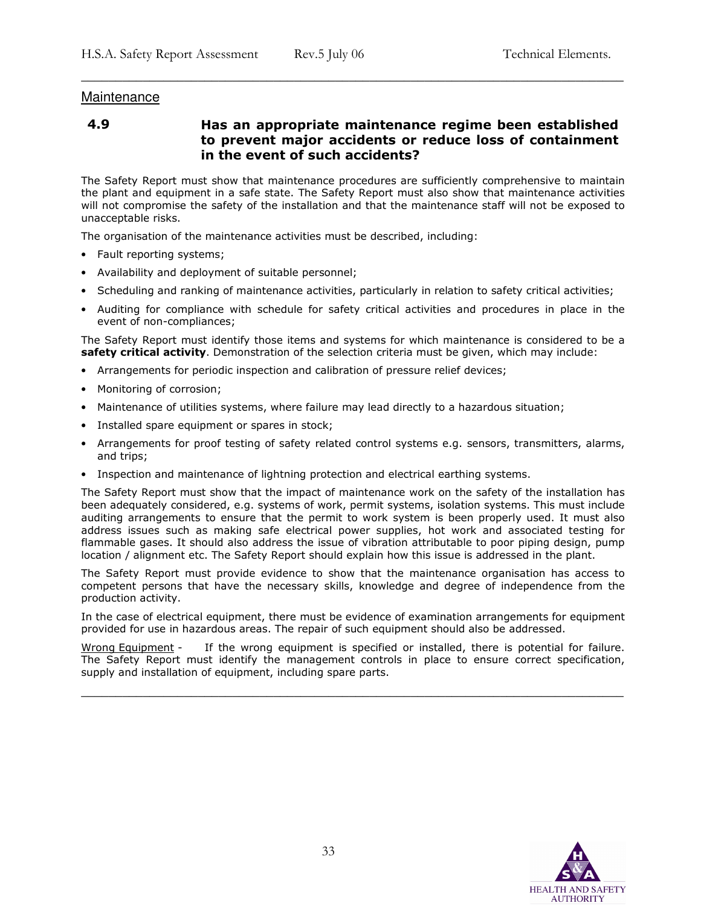# Maintenance

4.9 Has an appropriate maintenance regime been established to prevent major accidents or reduce loss of containment in the event of such accidents?

\_\_\_\_\_\_\_\_\_\_\_\_\_\_\_\_\_\_\_\_\_\_\_\_\_\_\_\_\_\_\_\_\_\_\_\_\_\_\_\_\_\_\_\_\_\_\_\_\_\_\_\_\_\_\_\_\_\_\_\_\_\_\_\_\_\_\_\_\_\_\_\_\_\_\_\_\_\_\_

The Safety Report must show that maintenance procedures are sufficiently comprehensive to maintain the plant and equipment in a safe state. The Safety Report must also show that maintenance activities will not compromise the safety of the installation and that the maintenance staff will not be exposed to unacceptable risks.

The organisation of the maintenance activities must be described, including:

- Fault reporting systems;
- Availability and deployment of suitable personnel;
- Scheduling and ranking of maintenance activities, particularly in relation to safety critical activities;
- Auditing for compliance with schedule for safety critical activities and procedures in place in the event of non-compliances;

The Safety Report must identify those items and systems for which maintenance is considered to be a safety critical activity. Demonstration of the selection criteria must be given, which may include:

- Arrangements for periodic inspection and calibration of pressure relief devices;
- Monitoring of corrosion;
- Maintenance of utilities systems, where failure may lead directly to a hazardous situation;
- Installed spare equipment or spares in stock;
- Arrangements for proof testing of safety related control systems e.g. sensors, transmitters, alarms, and trips;
- Inspection and maintenance of lightning protection and electrical earthing systems.

The Safety Report must show that the impact of maintenance work on the safety of the installation has been adequately considered, e.g. systems of work, permit systems, isolation systems. This must include auditing arrangements to ensure that the permit to work system is been properly used. It must also address issues such as making safe electrical power supplies, hot work and associated testing for flammable gases. It should also address the issue of vibration attributable to poor piping design, pump location / alignment etc. The Safety Report should explain how this issue is addressed in the plant.

The Safety Report must provide evidence to show that the maintenance organisation has access to competent persons that have the necessary skills, knowledge and degree of independence from the production activity.

In the case of electrical equipment, there must be evidence of examination arrangements for equipment provided for use in hazardous areas. The repair of such equipment should also be addressed.

Wrong Equipment - If the wrong equipment is specified or installed, there is potential for failure. The Safety Report must identify the management controls in place to ensure correct specification, supply and installation of equipment, including spare parts.

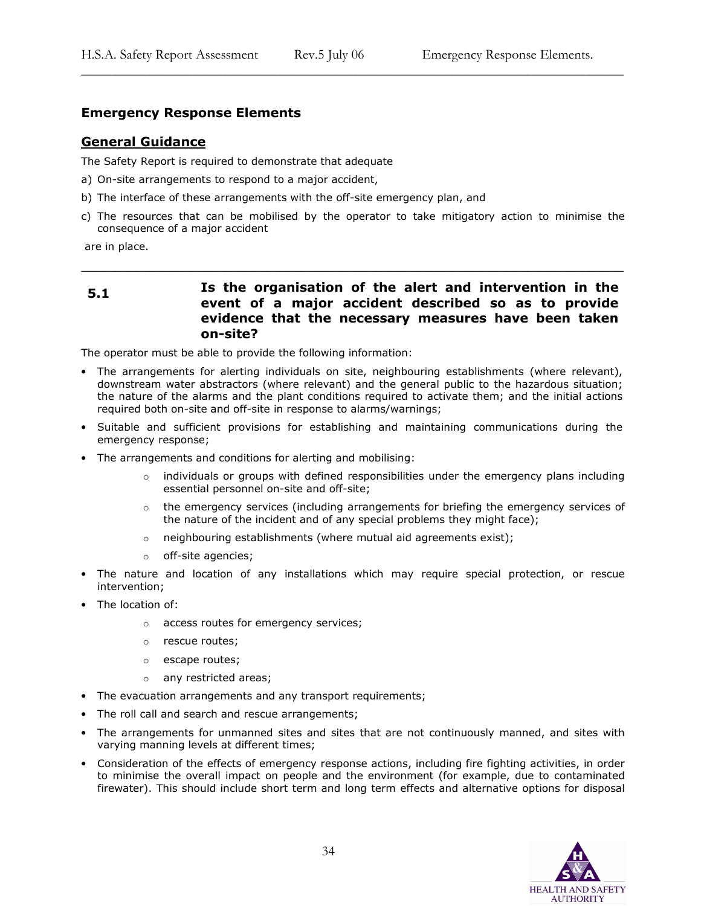# Emergency Response Elements

# General Guidance

The Safety Report is required to demonstrate that adequate

- a) On-site arrangements to respond to a major accident,
- b) The interface of these arrangements with the off-site emergency plan, and
- c) The resources that can be mobilised by the operator to take mitigatory action to minimise the consequence of a major accident

\_\_\_\_\_\_\_\_\_\_\_\_\_\_\_\_\_\_\_\_\_\_\_\_\_\_\_\_\_\_\_\_\_\_\_\_\_\_\_\_\_\_\_\_\_\_\_\_\_\_\_\_\_\_\_\_\_\_\_\_\_\_\_\_\_\_\_\_\_\_\_\_\_\_\_\_\_\_\_

\_\_\_\_\_\_\_\_\_\_\_\_\_\_\_\_\_\_\_\_\_\_\_\_\_\_\_\_\_\_\_\_\_\_\_\_\_\_\_\_\_\_\_\_\_\_\_\_\_\_\_\_\_\_\_\_\_\_\_\_\_\_\_\_\_\_\_\_\_\_\_\_\_\_\_\_\_\_\_

are in place.

# 5.1 **Is the organisation of the alert and intervention in the** event of a major accident described so as to provide evidence that the necessary measures have been taken on-site?

The operator must be able to provide the following information:

- The arrangements for alerting individuals on site, neighbouring establishments (where relevant), downstream water abstractors (where relevant) and the general public to the hazardous situation; the nature of the alarms and the plant conditions required to activate them; and the initial actions required both on-site and off-site in response to alarms/warnings;
- Suitable and sufficient provisions for establishing and maintaining communications during the emergency response;
- The arrangements and conditions for alerting and mobilising:
	- individuals or groups with defined responsibilities under the emergency plans including essential personnel on-site and off-site;
	- $\circ$  the emergency services (including arrangements for briefing the emergency services of the nature of the incident and of any special problems they might face);
	- $\circ$  neighbouring establishments (where mutual aid agreements exist);
	- o off-site agencies;
- The nature and location of any installations which may require special protection, or rescue intervention;
- The location of:
	- o access routes for emergency services;
	- o rescue routes;
	- o escape routes;
	- o any restricted areas;
- The evacuation arrangements and any transport requirements;
- The roll call and search and rescue arrangements;
- The arrangements for unmanned sites and sites that are not continuously manned, and sites with varying manning levels at different times;
- Consideration of the effects of emergency response actions, including fire fighting activities, in order to minimise the overall impact on people and the environment (for example, due to contaminated firewater). This should include short term and long term effects and alternative options for disposal

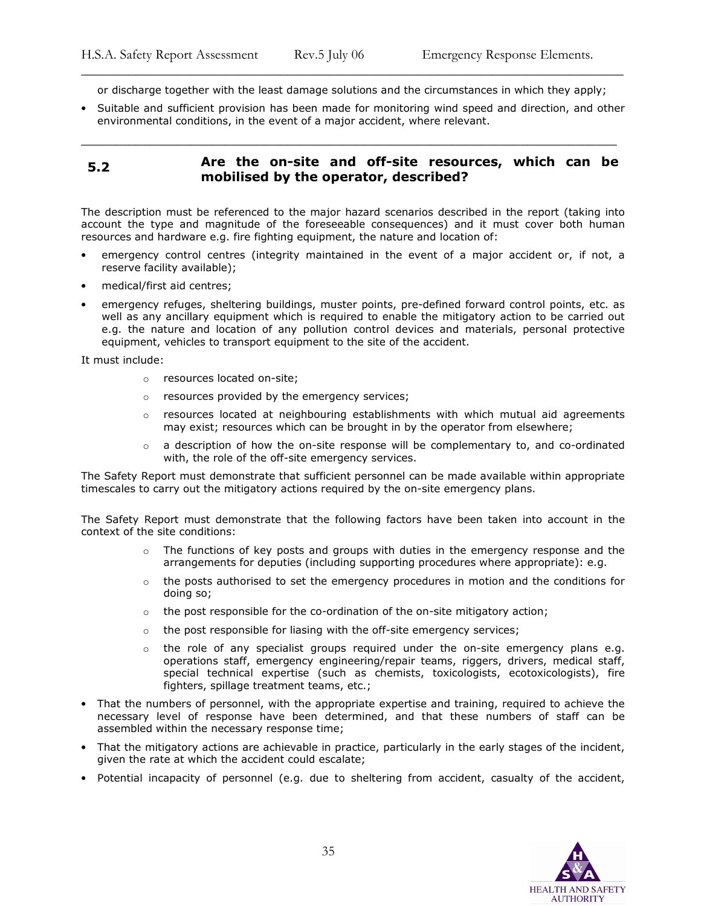\_\_\_\_\_\_\_\_\_\_\_\_\_\_\_\_\_\_\_\_\_\_\_\_\_\_\_\_\_\_\_\_\_\_\_\_\_\_\_\_\_\_\_\_\_\_\_\_\_\_\_\_\_\_\_\_\_\_\_\_\_\_\_\_\_\_\_\_\_\_\_\_\_\_\_\_\_\_\_ or discharge together with the least damage solutions and the circumstances in which they apply;

• Suitable and sufficient provision has been made for monitoring wind speed and direction, and other environmental conditions, in the event of a major accident, where relevant.

#### 5.2 Are the on-site and off-site resources, which can be mobilised by the operator, described?

\_\_\_\_\_\_\_\_\_\_\_\_\_\_\_\_\_\_\_\_\_\_\_\_\_\_\_\_\_\_\_\_\_\_\_\_\_\_\_\_\_\_\_\_\_\_\_\_\_\_\_\_\_\_\_\_\_\_\_\_\_\_\_\_\_\_\_\_\_\_\_\_\_\_\_\_\_\_

The description must be referenced to the major hazard scenarios described in the report (taking into account the type and magnitude of the foreseeable consequences) and it must cover both human resources and hardware e.g. fire fighting equipment, the nature and location of:

- emergency control centres (integrity maintained in the event of a major accident or, if not, a reserve facility available);
- medical/first aid centres;
- emergency refuges, sheltering buildings, muster points, pre-defined forward control points, etc. as well as any ancillary equipment which is required to enable the mitigatory action to be carried out e.g. the nature and location of any pollution control devices and materials, personal protective equipment, vehicles to transport equipment to the site of the accident.

It must include:

- o resources located on-site;
- o resources provided by the emergency services;
- $\circ$  resources located at neighbouring establishments with which mutual aid agreements may exist; resources which can be brought in by the operator from elsewhere;
- $\circ$  a description of how the on-site response will be complementary to, and co-ordinated with, the role of the off-site emergency services.

The Safety Report must demonstrate that sufficient personnel can be made available within appropriate timescales to carry out the mitigatory actions required by the on-site emergency plans.

The Safety Report must demonstrate that the following factors have been taken into account in the context of the site conditions:

- $\circ$  The functions of key posts and groups with duties in the emergency response and the arrangements for deputies (including supporting procedures where appropriate): e.g.
- $\circ$  the posts authorised to set the emergency procedures in motion and the conditions for doing so;
- $\circ$  the post responsible for the co-ordination of the on-site mitigatory action;
- $\circ$  the post responsible for liasing with the off-site emergency services;
- $\circ$  the role of any specialist groups required under the on-site emergency plans e.g. operations staff, emergency engineering/repair teams, riggers, drivers, medical staff, special technical expertise (such as chemists, toxicologists, ecotoxicologists), fire fighters, spillage treatment teams, etc.;
- That the numbers of personnel, with the appropriate expertise and training, required to achieve the necessary level of response have been determined, and that these numbers of staff can be assembled within the necessary response time;
- That the mitigatory actions are achievable in practice, particularly in the early stages of the incident, given the rate at which the accident could escalate;
- Potential incapacity of personnel (e.g. due to sheltering from accident, casualty of the accident,

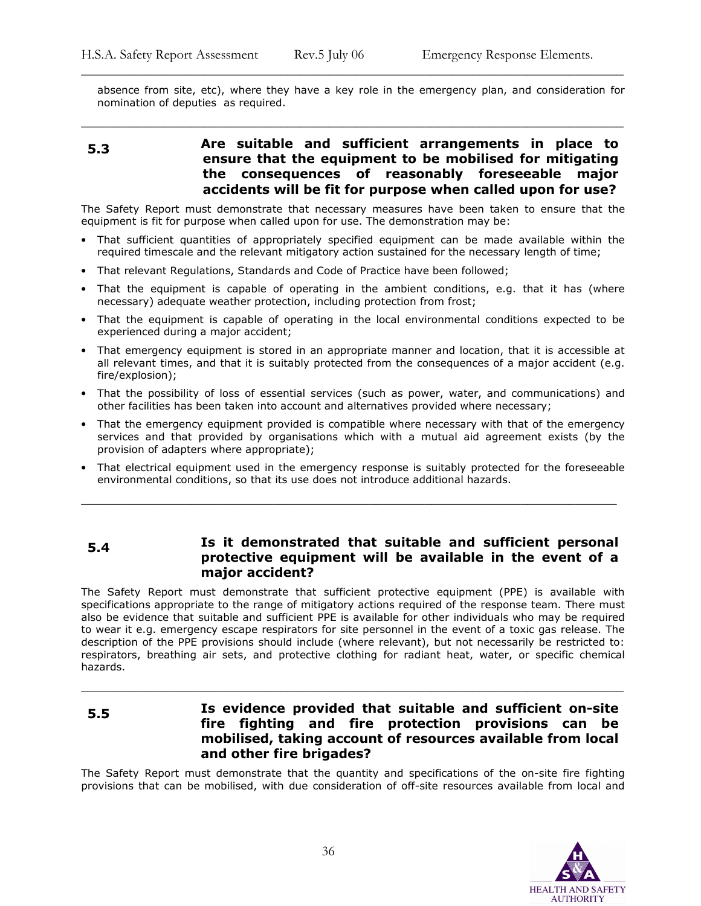absence from site, etc), where they have a key role in the emergency plan, and consideration for nomination of deputies as required.

\_\_\_\_\_\_\_\_\_\_\_\_\_\_\_\_\_\_\_\_\_\_\_\_\_\_\_\_\_\_\_\_\_\_\_\_\_\_\_\_\_\_\_\_\_\_\_\_\_\_\_\_\_\_\_\_\_\_\_\_\_\_\_\_\_\_\_\_\_\_\_\_\_\_\_\_\_\_\_

# 5.3 Are suitable and sufficient arrangements in place to ensure that the equipment to be mobilised for mitigating the consequences of reasonably foreseeable major accidents will be fit for purpose when called upon for use?

\_\_\_\_\_\_\_\_\_\_\_\_\_\_\_\_\_\_\_\_\_\_\_\_\_\_\_\_\_\_\_\_\_\_\_\_\_\_\_\_\_\_\_\_\_\_\_\_\_\_\_\_\_\_\_\_\_\_\_\_\_\_\_\_\_\_\_\_\_\_\_\_\_\_\_\_\_\_\_

The Safety Report must demonstrate that necessary measures have been taken to ensure that the equipment is fit for purpose when called upon for use. The demonstration may be:

- That sufficient quantities of appropriately specified equipment can be made available within the required timescale and the relevant mitigatory action sustained for the necessary length of time;
- That relevant Regulations, Standards and Code of Practice have been followed;
- That the equipment is capable of operating in the ambient conditions, e.g. that it has (where necessary) adequate weather protection, including protection from frost;
- That the equipment is capable of operating in the local environmental conditions expected to be experienced during a major accident;
- That emergency equipment is stored in an appropriate manner and location, that it is accessible at all relevant times, and that it is suitably protected from the consequences of a major accident (e.g. fire/explosion);
- That the possibility of loss of essential services (such as power, water, and communications) and other facilities has been taken into account and alternatives provided where necessary;
- That the emergency equipment provided is compatible where necessary with that of the emergency services and that provided by organisations which with a mutual aid agreement exists (by the provision of adapters where appropriate);
- That electrical equipment used in the emergency response is suitably protected for the foreseeable environmental conditions, so that its use does not introduce additional hazards.

\_\_\_\_\_\_\_\_\_\_\_\_\_\_\_\_\_\_\_\_\_\_\_\_\_\_\_\_\_\_\_\_\_\_\_\_\_\_\_\_\_\_\_\_\_\_\_\_\_\_\_\_\_\_\_\_\_\_\_\_\_\_\_\_\_\_\_\_\_\_\_\_\_\_\_\_\_\_

# 5.4 Is it demonstrated that suitable and sufficient personal protective equipment will be available in the event of a major accident?

The Safety Report must demonstrate that sufficient protective equipment (PPE) is available with specifications appropriate to the range of mitigatory actions required of the response team. There must also be evidence that suitable and sufficient PPE is available for other individuals who may be required to wear it e.g. emergency escape respirators for site personnel in the event of a toxic gas release. The description of the PPE provisions should include (where relevant), but not necessarily be restricted to: respirators, breathing air sets, and protective clothing for radiant heat, water, or specific chemical hazards.

# 5.5 Is evidence provided that suitable and sufficient on-site fire fighting and fire protection provisions can be mobilised, taking account of resources available from local and other fire brigades?

\_\_\_\_\_\_\_\_\_\_\_\_\_\_\_\_\_\_\_\_\_\_\_\_\_\_\_\_\_\_\_\_\_\_\_\_\_\_\_\_\_\_\_\_\_\_\_\_\_\_\_\_\_\_\_\_\_\_\_\_\_\_\_\_\_\_\_\_\_\_\_\_\_\_\_\_\_\_\_

The Safety Report must demonstrate that the quantity and specifications of the on-site fire fighting provisions that can be mobilised, with due consideration of off-site resources available from local and

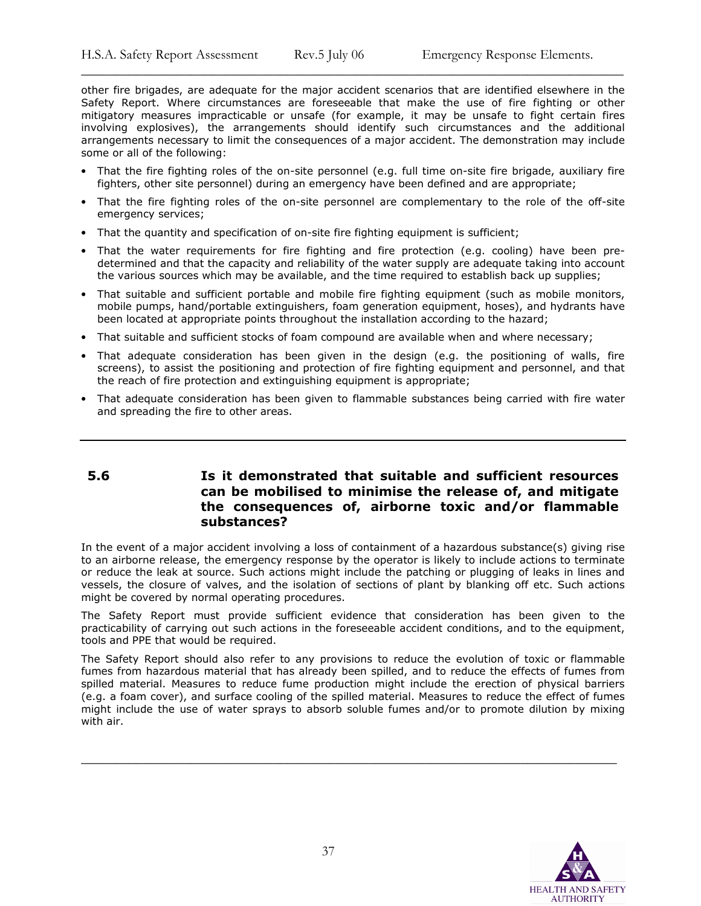other fire brigades, are adequate for the major accident scenarios that are identified elsewhere in the Safety Report. Where circumstances are foreseeable that make the use of fire fighting or other mitigatory measures impracticable or unsafe (for example, it may be unsafe to fight certain fires involving explosives), the arrangements should identify such circumstances and the additional arrangements necessary to limit the consequences of a major accident. The demonstration may include some or all of the following:

\_\_\_\_\_\_\_\_\_\_\_\_\_\_\_\_\_\_\_\_\_\_\_\_\_\_\_\_\_\_\_\_\_\_\_\_\_\_\_\_\_\_\_\_\_\_\_\_\_\_\_\_\_\_\_\_\_\_\_\_\_\_\_\_\_\_\_\_\_\_\_\_\_\_\_\_\_\_\_

- That the fire fighting roles of the on-site personnel (e.g. full time on-site fire brigade, auxiliary fire fighters, other site personnel) during an emergency have been defined and are appropriate;
- That the fire fighting roles of the on-site personnel are complementary to the role of the off-site emergency services;
- That the quantity and specification of on-site fire fighting equipment is sufficient;
- That the water requirements for fire fighting and fire protection (e.g. cooling) have been predetermined and that the capacity and reliability of the water supply are adequate taking into account the various sources which may be available, and the time required to establish back up supplies;
- That suitable and sufficient portable and mobile fire fighting equipment (such as mobile monitors, mobile pumps, hand/portable extinguishers, foam generation equipment, hoses), and hydrants have been located at appropriate points throughout the installation according to the hazard;
- That suitable and sufficient stocks of foam compound are available when and where necessary;
- That adequate consideration has been given in the design (e.g. the positioning of walls, fire screens), to assist the positioning and protection of fire fighting equipment and personnel, and that the reach of fire protection and extinguishing equipment is appropriate;
- That adequate consideration has been given to flammable substances being carried with fire water and spreading the fire to other areas.

# 5.6 Is it demonstrated that suitable and sufficient resources can be mobilised to minimise the release of, and mitigate the consequences of, airborne toxic and/or flammable substances?

In the event of a major accident involving a loss of containment of a hazardous substance(s) giving rise to an airborne release, the emergency response by the operator is likely to include actions to terminate or reduce the leak at source. Such actions might include the patching or plugging of leaks in lines and vessels, the closure of valves, and the isolation of sections of plant by blanking off etc. Such actions might be covered by normal operating procedures.

The Safety Report must provide sufficient evidence that consideration has been given to the practicability of carrying out such actions in the foreseeable accident conditions, and to the equipment, tools and PPE that would be required.

The Safety Report should also refer to any provisions to reduce the evolution of toxic or flammable fumes from hazardous material that has already been spilled, and to reduce the effects of fumes from spilled material. Measures to reduce fume production might include the erection of physical barriers (e.g. a foam cover), and surface cooling of the spilled material. Measures to reduce the effect of fumes might include the use of water sprays to absorb soluble fumes and/or to promote dilution by mixing with air.

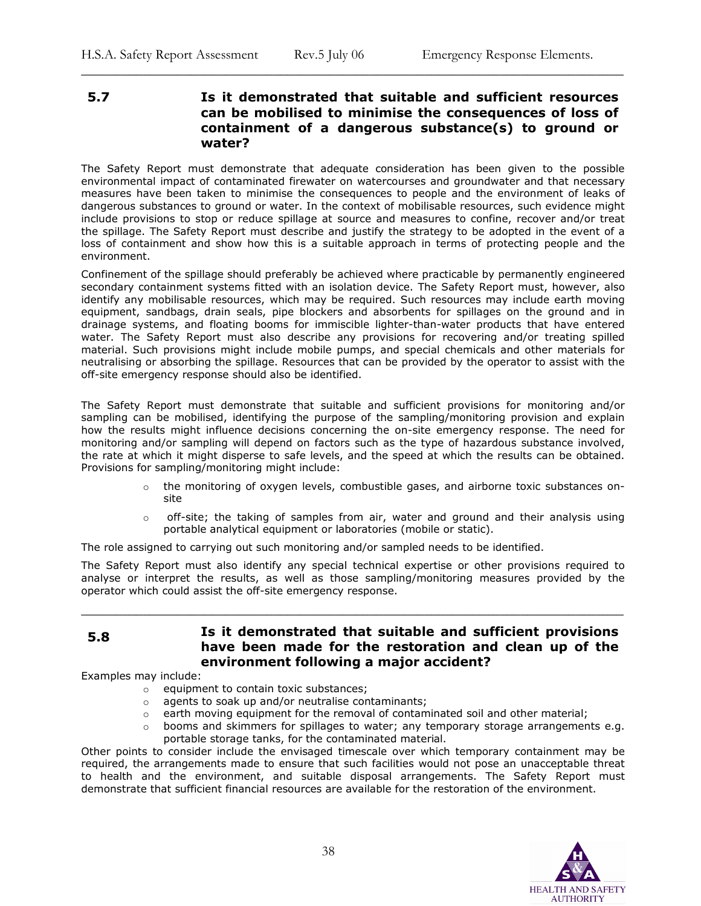# 5.7 Is it demonstrated that suitable and sufficient resources can be mobilised to minimise the consequences of loss of containment of a dangerous substance(s) to ground or water?

\_\_\_\_\_\_\_\_\_\_\_\_\_\_\_\_\_\_\_\_\_\_\_\_\_\_\_\_\_\_\_\_\_\_\_\_\_\_\_\_\_\_\_\_\_\_\_\_\_\_\_\_\_\_\_\_\_\_\_\_\_\_\_\_\_\_\_\_\_\_\_\_\_\_\_\_\_\_\_

The Safety Report must demonstrate that adequate consideration has been given to the possible environmental impact of contaminated firewater on watercourses and groundwater and that necessary measures have been taken to minimise the consequences to people and the environment of leaks of dangerous substances to ground or water. In the context of mobilisable resources, such evidence might include provisions to stop or reduce spillage at source and measures to confine, recover and/or treat the spillage. The Safety Report must describe and justify the strategy to be adopted in the event of a loss of containment and show how this is a suitable approach in terms of protecting people and the environment.

Confinement of the spillage should preferably be achieved where practicable by permanently engineered secondary containment systems fitted with an isolation device. The Safety Report must, however, also identify any mobilisable resources, which may be required. Such resources may include earth moving equipment, sandbags, drain seals, pipe blockers and absorbents for spillages on the ground and in drainage systems, and floating booms for immiscible lighter-than-water products that have entered water. The Safety Report must also describe any provisions for recovering and/or treating spilled material. Such provisions might include mobile pumps, and special chemicals and other materials for neutralising or absorbing the spillage. Resources that can be provided by the operator to assist with the off-site emergency response should also be identified.

The Safety Report must demonstrate that suitable and sufficient provisions for monitoring and/or sampling can be mobilised, identifying the purpose of the sampling/monitoring provision and explain how the results might influence decisions concerning the on-site emergency response. The need for monitoring and/or sampling will depend on factors such as the type of hazardous substance involved, the rate at which it might disperse to safe levels, and the speed at which the results can be obtained. Provisions for sampling/monitoring might include:

- $\circ$  the monitoring of oxygen levels, combustible gases, and airborne toxic substances onsite
- $\circ$  off-site; the taking of samples from air, water and ground and their analysis using portable analytical equipment or laboratories (mobile or static).

The role assigned to carrying out such monitoring and/or sampled needs to be identified.

The Safety Report must also identify any special technical expertise or other provisions required to analyse or interpret the results, as well as those sampling/monitoring measures provided by the operator which could assist the off-site emergency response.

\_\_\_\_\_\_\_\_\_\_\_\_\_\_\_\_\_\_\_\_\_\_\_\_\_\_\_\_\_\_\_\_\_\_\_\_\_\_\_\_\_\_\_\_\_\_\_\_\_\_\_\_\_\_\_\_\_\_\_\_\_\_\_\_\_\_\_\_\_\_\_\_\_\_\_\_\_\_\_

# 5.8 Is it demonstrated that suitable and sufficient provisions have been made for the restoration and clean up of the environment following a major accident?

Examples may include:

- o equipment to contain toxic substances;
- o agents to soak up and/or neutralise contaminants;
- o earth moving equipment for the removal of contaminated soil and other material;
- booms and skimmers for spillages to water; any temporary storage arrangements e.g. portable storage tanks, for the contaminated material.

Other points to consider include the envisaged timescale over which temporary containment may be required, the arrangements made to ensure that such facilities would not pose an unacceptable threat to health and the environment, and suitable disposal arrangements. The Safety Report must demonstrate that sufficient financial resources are available for the restoration of the environment.

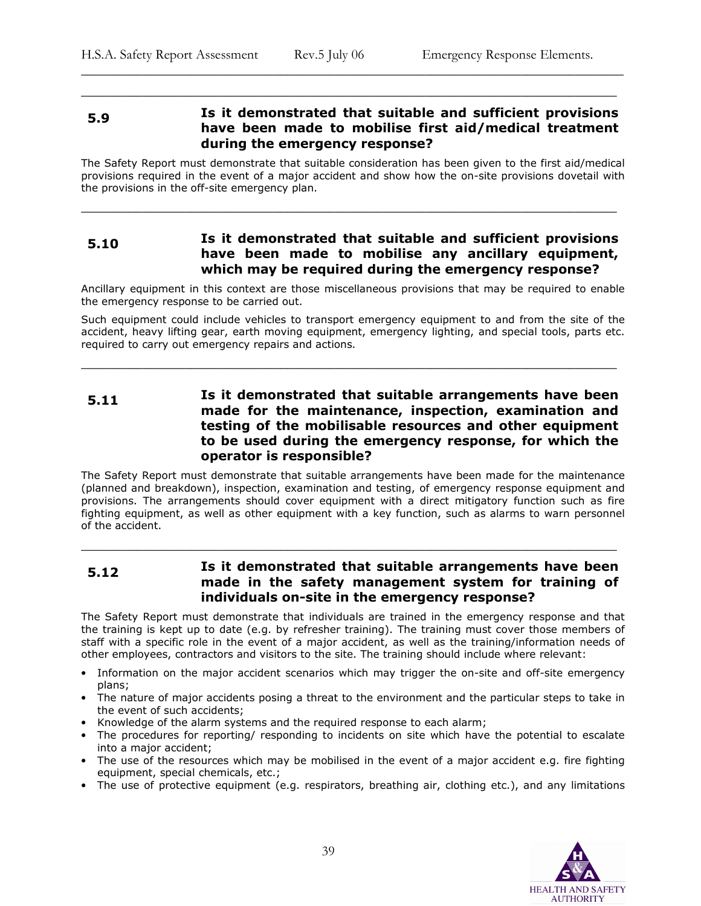# 5.9 Is it demonstrated that suitable and sufficient provisions have been made to mobilise first aid/medical treatment during the emergency response?

\_\_\_\_\_\_\_\_\_\_\_\_\_\_\_\_\_\_\_\_\_\_\_\_\_\_\_\_\_\_\_\_\_\_\_\_\_\_\_\_\_\_\_\_\_\_\_\_\_\_\_\_\_\_\_\_\_\_\_\_\_\_\_\_\_\_\_\_\_\_\_\_\_\_\_\_\_\_\_

\_\_\_\_\_\_\_\_\_\_\_\_\_\_\_\_\_\_\_\_\_\_\_\_\_\_\_\_\_\_\_\_\_\_\_\_\_\_\_\_\_\_\_\_\_\_\_\_\_\_\_\_\_\_\_\_\_\_\_\_\_\_\_\_\_\_\_\_\_\_\_\_\_\_\_\_\_\_

The Safety Report must demonstrate that suitable consideration has been given to the first aid/medical provisions required in the event of a major accident and show how the on-site provisions dovetail with the provisions in the off-site emergency plan.

\_\_\_\_\_\_\_\_\_\_\_\_\_\_\_\_\_\_\_\_\_\_\_\_\_\_\_\_\_\_\_\_\_\_\_\_\_\_\_\_\_\_\_\_\_\_\_\_\_\_\_\_\_\_\_\_\_\_\_\_\_\_\_\_\_\_\_\_\_\_\_\_\_\_\_\_\_\_

# 5.10 Is it demonstrated that suitable and sufficient provisions have been made to mobilise any ancillary equipment, which may be required during the emergency response?

Ancillary equipment in this context are those miscellaneous provisions that may be required to enable the emergency response to be carried out.

Such equipment could include vehicles to transport emergency equipment to and from the site of the accident, heavy lifting gear, earth moving equipment, emergency lighting, and special tools, parts etc. required to carry out emergency repairs and actions.

\_\_\_\_\_\_\_\_\_\_\_\_\_\_\_\_\_\_\_\_\_\_\_\_\_\_\_\_\_\_\_\_\_\_\_\_\_\_\_\_\_\_\_\_\_\_\_\_\_\_\_\_\_\_\_\_\_\_\_\_\_\_\_\_\_\_\_\_\_\_\_\_\_\_\_\_\_\_

# 5.11 **Is it demonstrated that suitable arrangements have been** made for the maintenance, inspection, examination and testing of the mobilisable resources and other equipment to be used during the emergency response, for which the operator is responsible?

The Safety Report must demonstrate that suitable arrangements have been made for the maintenance (planned and breakdown), inspection, examination and testing, of emergency response equipment and provisions. The arrangements should cover equipment with a direct mitigatory function such as fire fighting equipment, as well as other equipment with a key function, such as alarms to warn personnel of the accident.

# 5.12 Is it demonstrated that suitable arrangements have been made in the safety management system for training of individuals on-site in the emergency response?

\_\_\_\_\_\_\_\_\_\_\_\_\_\_\_\_\_\_\_\_\_\_\_\_\_\_\_\_\_\_\_\_\_\_\_\_\_\_\_\_\_\_\_\_\_\_\_\_\_\_\_\_\_\_\_\_\_\_\_\_\_\_\_\_\_\_\_\_\_\_\_\_\_\_\_\_\_\_

The Safety Report must demonstrate that individuals are trained in the emergency response and that the training is kept up to date (e.g. by refresher training). The training must cover those members of staff with a specific role in the event of a major accident, as well as the training/information needs of other employees, contractors and visitors to the site. The training should include where relevant:

- Information on the major accident scenarios which may trigger the on-site and off-site emergency plans;
- The nature of major accidents posing a threat to the environment and the particular steps to take in the event of such accidents;
- Knowledge of the alarm systems and the required response to each alarm;
- The procedures for reporting/ responding to incidents on site which have the potential to escalate into a major accident;
- The use of the resources which may be mobilised in the event of a major accident e.g. fire fighting equipment, special chemicals, etc.;
- The use of protective equipment (e.g. respirators, breathing air, clothing etc.), and any limitations

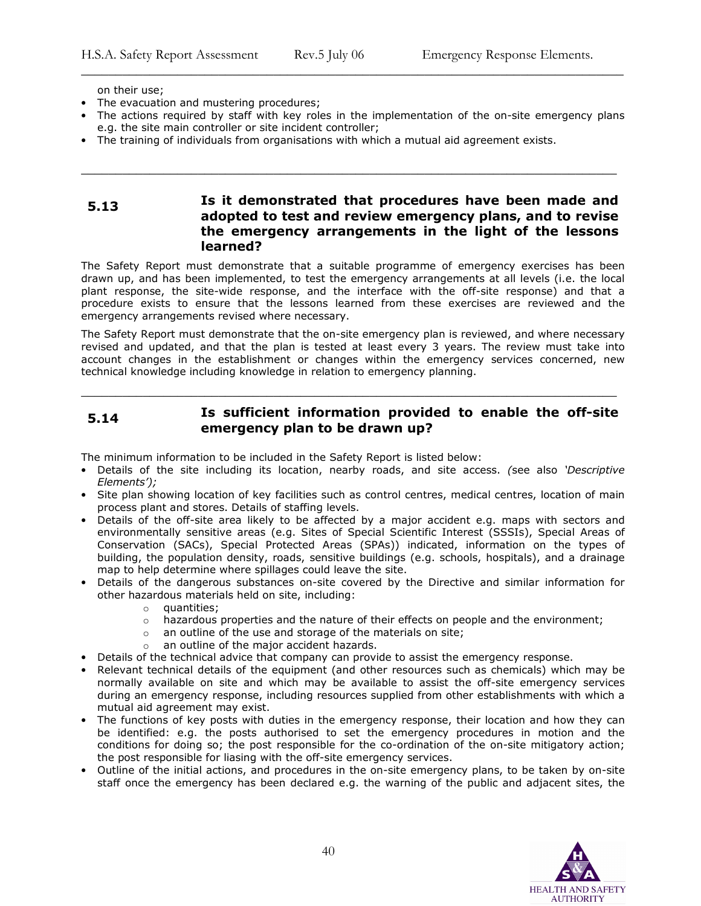on their use;

- The evacuation and mustering procedures;
- The actions required by staff with key roles in the implementation of the on-site emergency plans e.g. the site main controller or site incident controller;

\_\_\_\_\_\_\_\_\_\_\_\_\_\_\_\_\_\_\_\_\_\_\_\_\_\_\_\_\_\_\_\_\_\_\_\_\_\_\_\_\_\_\_\_\_\_\_\_\_\_\_\_\_\_\_\_\_\_\_\_\_\_\_\_\_\_\_\_\_\_\_\_\_\_\_\_\_\_

\_\_\_\_\_\_\_\_\_\_\_\_\_\_\_\_\_\_\_\_\_\_\_\_\_\_\_\_\_\_\_\_\_\_\_\_\_\_\_\_\_\_\_\_\_\_\_\_\_\_\_\_\_\_\_\_\_\_\_\_\_\_\_\_\_\_\_\_\_\_\_\_\_\_\_\_\_\_\_

• The training of individuals from organisations with which a mutual aid agreement exists.

# 5.13 Is it demonstrated that procedures have been made and adopted to test and review emergency plans, and to revise the emergency arrangements in the light of the lessons learned?

The Safety Report must demonstrate that a suitable programme of emergency exercises has been drawn up, and has been implemented, to test the emergency arrangements at all levels (i.e. the local plant response, the site-wide response, and the interface with the off-site response) and that a procedure exists to ensure that the lessons learned from these exercises are reviewed and the emergency arrangements revised where necessary.

The Safety Report must demonstrate that the on-site emergency plan is reviewed, and where necessary revised and updated, and that the plan is tested at least every 3 years. The review must take into account changes in the establishment or changes within the emergency services concerned, new technical knowledge including knowledge in relation to emergency planning.

# 5.14 Is sufficient information provided to enable the off-site emergency plan to be drawn up?

\_\_\_\_\_\_\_\_\_\_\_\_\_\_\_\_\_\_\_\_\_\_\_\_\_\_\_\_\_\_\_\_\_\_\_\_\_\_\_\_\_\_\_\_\_\_\_\_\_\_\_\_\_\_\_\_\_\_\_\_\_\_\_\_\_\_\_\_\_\_\_\_\_\_\_\_\_\_

The minimum information to be included in the Safety Report is listed below:

- Details of the site including its location, nearby roads, and site access. (see also 'Descriptive Elements');
- Site plan showing location of key facilities such as control centres, medical centres, location of main process plant and stores. Details of staffing levels.
- Details of the off-site area likely to be affected by a major accident e.g. maps with sectors and environmentally sensitive areas (e.g. Sites of Special Scientific Interest (SSSIs), Special Areas of Conservation (SACs), Special Protected Areas (SPAs)) indicated, information on the types of building, the population density, roads, sensitive buildings (e.g. schools, hospitals), and a drainage map to help determine where spillages could leave the site.
- Details of the dangerous substances on-site covered by the Directive and similar information for other hazardous materials held on site, including:
	- o quantities;
	- $\circ$  hazardous properties and the nature of their effects on people and the environment;
	- o an outline of the use and storage of the materials on site;
	- o an outline of the major accident hazards.
- Details of the technical advice that company can provide to assist the emergency response.
- Relevant technical details of the equipment (and other resources such as chemicals) which may be normally available on site and which may be available to assist the off-site emergency services during an emergency response, including resources supplied from other establishments with which a mutual aid agreement may exist.
- The functions of key posts with duties in the emergency response, their location and how they can be identified: e.g. the posts authorised to set the emergency procedures in motion and the conditions for doing so; the post responsible for the co-ordination of the on-site mitigatory action; the post responsible for liasing with the off-site emergency services.
- Outline of the initial actions, and procedures in the on-site emergency plans, to be taken by on-site staff once the emergency has been declared e.g. the warning of the public and adjacent sites, the